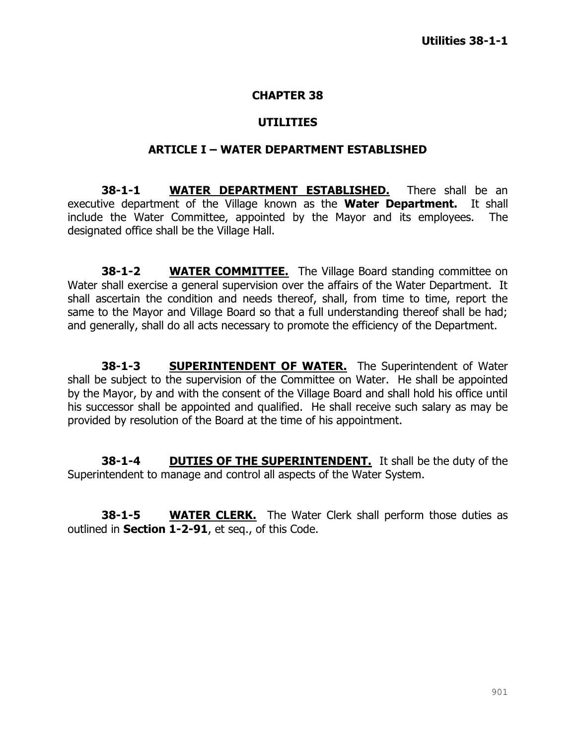#### **CHAPTER 38**

#### **UTILITIES**

#### **ARTICLE I – WATER DEPARTMENT ESTABLISHED**

**38-1-1 WATER DEPARTMENT ESTABLISHED.** There shall be an executive department of the Village known as the **Water Department.** It shall include the Water Committee, appointed by the Mayor and its employees. The designated office shall be the Village Hall.

**38-1-2 WATER COMMITTEE.** The Village Board standing committee on Water shall exercise a general supervision over the affairs of the Water Department. It shall ascertain the condition and needs thereof, shall, from time to time, report the same to the Mayor and Village Board so that a full understanding thereof shall be had; and generally, shall do all acts necessary to promote the efficiency of the Department.

**38-1-3 SUPERINTENDENT OF WATER.** The Superintendent of Water shall be subject to the supervision of the Committee on Water.He shall be appointed by the Mayor, by and with the consent of the Village Board and shall hold his office until his successor shall be appointed and qualified. He shall receive such salary as may be provided by resolution of the Board at the time of his appointment.

**38-1-4 DUTIES OF THE SUPERINTENDENT.** It shall be the duty of the Superintendent to manage and control all aspects of the Water System.

**38-1-5 WATER CLERK.** The Water Clerk shall perform those duties as outlined in **Section 1-2-91**, et seq., of this Code.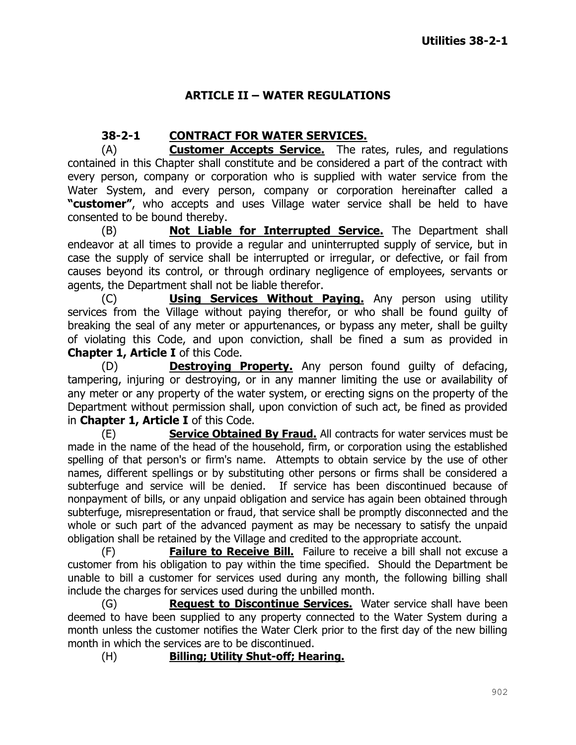# **ARTICLE II – WATER REGULATIONS**

## **38-2-1 CONTRACT FOR WATER SERVICES.**

(A) **Customer Accepts Service.** The rates, rules, and regulations contained in this Chapter shall constitute and be considered a part of the contract with every person, company or corporation who is supplied with water service from the Water System, and every person, company or corporation hereinafter called a **"customer"**, who accepts and uses Village water service shall be held to have consented to be bound thereby.

(B) **Not Liable for Interrupted Service.** The Department shall endeavor at all times to provide a regular and uninterrupted supply of service, but in case the supply of service shall be interrupted or irregular, or defective, or fail from causes beyond its control, or through ordinary negligence of employees, servants or agents, the Department shall not be liable therefor.

(C) **Using Services Without Paying.** Any person using utility services from the Village without paying therefor, or who shall be found guilty of breaking the seal of any meter or appurtenances, or bypass any meter, shall be guilty of violating this Code, and upon conviction, shall be fined a sum as provided in **Chapter 1, Article I** of this Code.

(D) **Destroying Property.** Any person found guilty of defacing, tampering, injuring or destroying, or in any manner limiting the use or availability of any meter or any property of the water system, or erecting signs on the property of the Department without permission shall, upon conviction of such act, be fined as provided in **Chapter 1, Article I** of this Code.

(E) **Service Obtained By Fraud.** All contracts for water services must be made in the name of the head of the household, firm, or corporation using the established spelling of that person's or firm's name. Attempts to obtain service by the use of other names, different spellings or by substituting other persons or firms shall be considered a subterfuge and service will be denied. If service has been discontinued because of nonpayment of bills, or any unpaid obligation and service has again been obtained through subterfuge, misrepresentation or fraud, that service shall be promptly disconnected and the whole or such part of the advanced payment as may be necessary to satisfy the unpaid obligation shall be retained by the Village and credited to the appropriate account.

(F) **Failure to Receive Bill.** Failure to receive a bill shall not excuse a customer from his obligation to pay within the time specified. Should the Department be unable to bill a customer for services used during any month, the following billing shall include the charges for services used during the unbilled month.

(G) **Request to Discontinue Services.** Water service shall have been deemed to have been supplied to any property connected to the Water System during a month unless the customer notifies the Water Clerk prior to the first day of the new billing month in which the services are to be discontinued.

(H) **Billing; Utility Shut-off; Hearing.**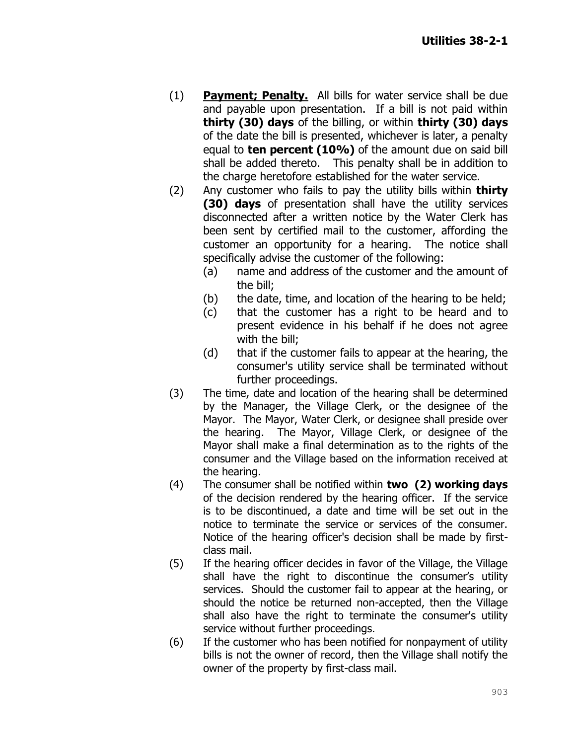- (1) **Payment; Penalty.** All bills for water service shall be due and payable upon presentation. If a bill is not paid within **thirty (30) days** of the billing, or within **thirty (30) days** of the date the bill is presented, whichever is later, a penalty equal to **ten percent (10%)** of the amount due on said bill shall be added thereto. This penalty shall be in addition to the charge heretofore established for the water service.
- (2) Any customer who fails to pay the utility bills within **thirty (30) days** of presentation shall have the utility services disconnected after a written notice by the Water Clerk has been sent by certified mail to the customer, affording the customer an opportunity for a hearing. The notice shall specifically advise the customer of the following:
	- (a) name and address of the customer and the amount of the bill;
	- (b) the date, time, and location of the hearing to be held;
	- (c) that the customer has a right to be heard and to present evidence in his behalf if he does not agree with the bill;
	- (d) that if the customer fails to appear at the hearing, the consumer's utility service shall be terminated without further proceedings.
- (3) The time, date and location of the hearing shall be determined by the Manager, the Village Clerk, or the designee of the Mayor. The Mayor, Water Clerk, or designee shall preside over the hearing. The Mayor, Village Clerk, or designee of the Mayor shall make a final determination as to the rights of the consumer and the Village based on the information received at the hearing.
- (4) The consumer shall be notified within **two (2) working days**  of the decision rendered by the hearing officer. If the service is to be discontinued, a date and time will be set out in the notice to terminate the service or services of the consumer. Notice of the hearing officer's decision shall be made by firstclass mail.
- (5) If the hearing officer decides in favor of the Village, the Village shall have the right to discontinue the consumer's utility services. Should the customer fail to appear at the hearing, or should the notice be returned non-accepted, then the Village shall also have the right to terminate the consumer's utility service without further proceedings.
- (6) If the customer who has been notified for nonpayment of utility bills is not the owner of record, then the Village shall notify the owner of the property by first-class mail.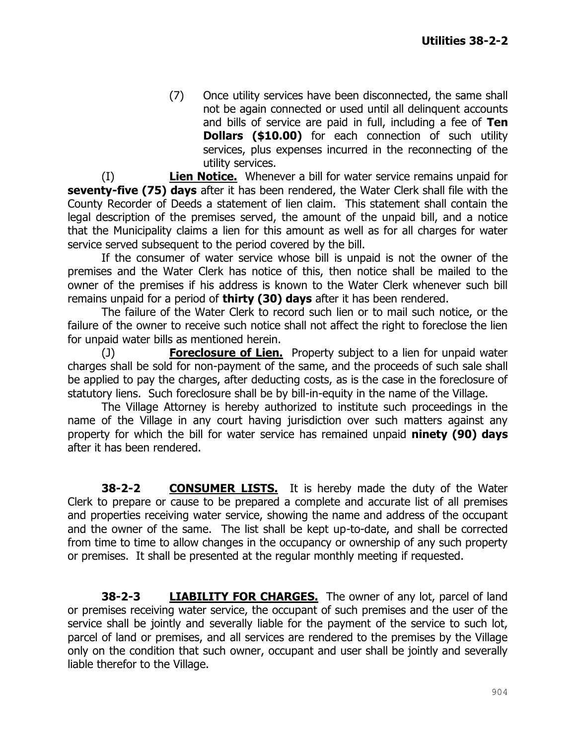(7) Once utility services have been disconnected, the same shall not be again connected or used until all delinquent accounts and bills of service are paid in full, including a fee of **Ten Dollars (\$10.00)** for each connection of such utility services, plus expenses incurred in the reconnecting of the utility services.

(I) **Lien Notice.** Whenever a bill for water service remains unpaid for **seventy-five (75) days** after it has been rendered, the Water Clerk shall file with the County Recorder of Deeds a statement of lien claim. This statement shall contain the legal description of the premises served, the amount of the unpaid bill, and a notice that the Municipality claims a lien for this amount as well as for all charges for water service served subsequent to the period covered by the bill.

If the consumer of water service whose bill is unpaid is not the owner of the premises and the Water Clerk has notice of this, then notice shall be mailed to the owner of the premises if his address is known to the Water Clerk whenever such bill remains unpaid for a period of **thirty (30) days** after it has been rendered.

The failure of the Water Clerk to record such lien or to mail such notice, or the failure of the owner to receive such notice shall not affect the right to foreclose the lien for unpaid water bills as mentioned herein.

(J) **Foreclosure of Lien.** Property subject to a lien for unpaid water charges shall be sold for non-payment of the same, and the proceeds of such sale shall be applied to pay the charges, after deducting costs, as is the case in the foreclosure of statutory liens. Such foreclosure shall be by bill-in-equity in the name of the Village.

The Village Attorney is hereby authorized to institute such proceedings in the name of the Village in any court having jurisdiction over such matters against any property for which the bill for water service has remained unpaid **ninety (90) days**  after it has been rendered.

**38-2-2 CONSUMER LISTS.** It is hereby made the duty of the Water Clerk to prepare or cause to be prepared a complete and accurate list of all premises and properties receiving water service, showing the name and address of the occupant and the owner of the same. The list shall be kept up-to-date, and shall be corrected from time to time to allow changes in the occupancy or ownership of any such property or premises. It shall be presented at the regular monthly meeting if requested.

**38-2-3 LIABILITY FOR CHARGES.** The owner of any lot, parcel of land or premises receiving water service, the occupant of such premises and the user of the service shall be jointly and severally liable for the payment of the service to such lot, parcel of land or premises, and all services are rendered to the premises by the Village only on the condition that such owner, occupant and user shall be jointly and severally liable therefor to the Village.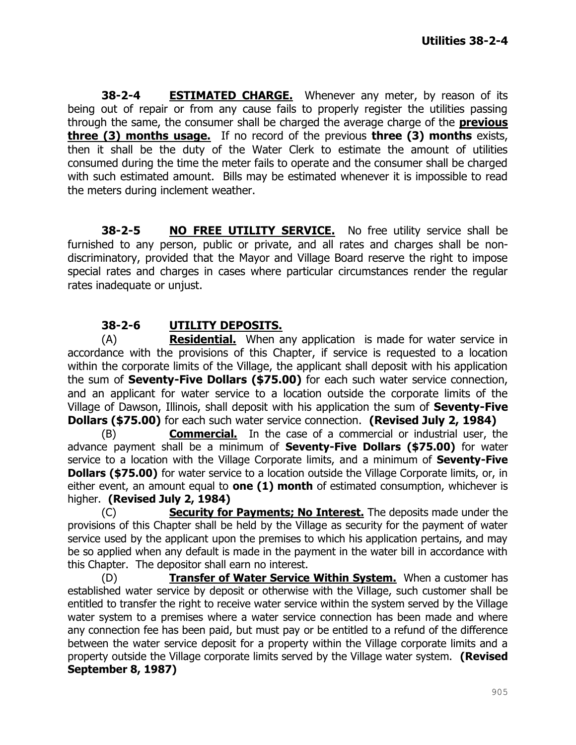**38-2-4 ESTIMATED CHARGE.** Whenever any meter, by reason of its being out of repair or from any cause fails to properly register the utilities passing through the same, the consumer shall be charged the average charge of the **previous three (3) months usage.** If no record of the previous **three (3) months** exists, then it shall be the duty of the Water Clerk to estimate the amount of utilities consumed during the time the meter fails to operate and the consumer shall be charged with such estimated amount. Bills may be estimated whenever it is impossible to read the meters during inclement weather.

**38-2-5 NO FREE UTILITY SERVICE.** No free utility service shall be furnished to any person, public or private, and all rates and charges shall be nondiscriminatory, provided that the Mayor and Village Board reserve the right to impose special rates and charges in cases where particular circumstances render the regular rates inadequate or unjust.

# **38-2-6 UTILITY DEPOSITS.**

(A) **Residential.** When any application is made for water service in accordance with the provisions of this Chapter, if service is requested to a location within the corporate limits of the Village, the applicant shall deposit with his application the sum of **Seventy-Five Dollars (\$75.00)** for each such water service connection, and an applicant for water service to a location outside the corporate limits of the Village of Dawson, Illinois, shall deposit with his application the sum of **Seventy-Five Dollars (\$75.00)** for each such water service connection. **(Revised July 2, 1984)**

(B) **Commercial.** In the case of a commercial or industrial user, the advance payment shall be a minimum of **Seventy-Five Dollars (\$75.00)** for water service to a location with the Village Corporate limits, and a minimum of **Seventy-Five Dollars (\$75.00)** for water service to a location outside the Village Corporate limits, or, in either event, an amount equal to **one (1) month** of estimated consumption, whichever is higher. **(Revised July 2, 1984)**

(C) **Security for Payments; No Interest.** The deposits made under the provisions of this Chapter shall be held by the Village as security for the payment of water service used by the applicant upon the premises to which his application pertains, and may be so applied when any default is made in the payment in the water bill in accordance with this Chapter. The depositor shall earn no interest.

(D) **Transfer of Water Service Within System.** When a customer has established water service by deposit or otherwise with the Village, such customer shall be entitled to transfer the right to receive water service within the system served by the Village water system to a premises where a water service connection has been made and where any connection fee has been paid, but must pay or be entitled to a refund of the difference between the water service deposit for a property within the Village corporate limits and a property outside the Village corporate limits served by the Village water system. **(Revised September 8, 1987)**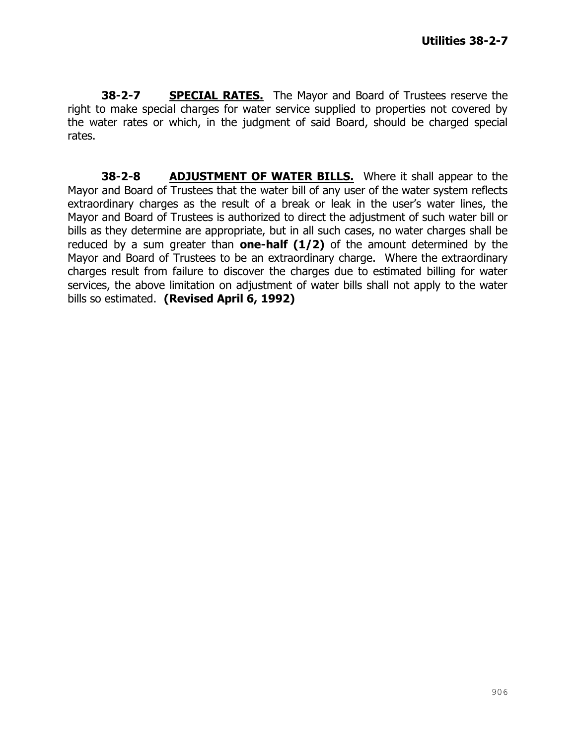**38-2-7 SPECIAL RATES.** The Mayor and Board of Trustees reserve the right to make special charges for water service supplied to properties not covered by the water rates or which, in the judgment of said Board, should be charged special rates.

**38-2-8 ADJUSTMENT OF WATER BILLS.** Where it shall appear to the Mayor and Board of Trustees that the water bill of any user of the water system reflects extraordinary charges as the result of a break or leak in the user's water lines, the Mayor and Board of Trustees is authorized to direct the adjustment of such water bill or bills as they determine are appropriate, but in all such cases, no water charges shall be reduced by a sum greater than **one-half (1/2)** of the amount determined by the Mayor and Board of Trustees to be an extraordinary charge. Where the extraordinary charges result from failure to discover the charges due to estimated billing for water services, the above limitation on adjustment of water bills shall not apply to the water bills so estimated. **(Revised April 6, 1992)**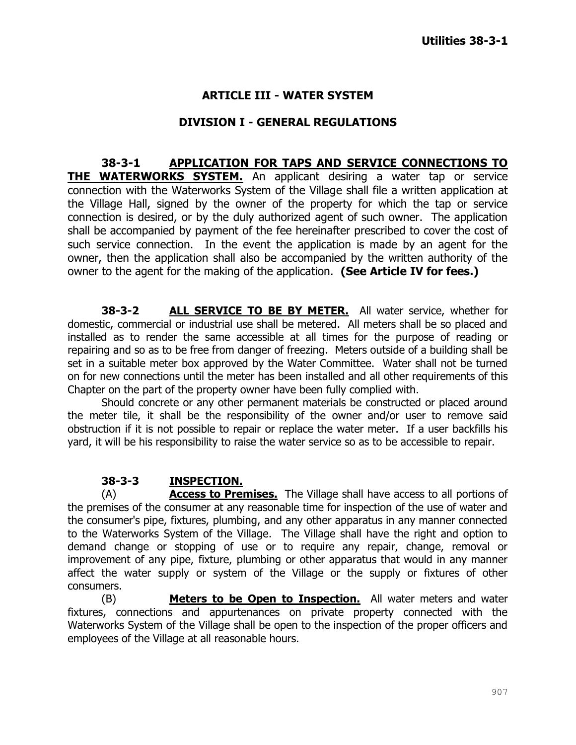### **ARTICLE III - WATER SYSTEM**

#### **DIVISION I - GENERAL REGULATIONS**

**38-3-1 APPLICATION FOR TAPS AND SERVICE CONNECTIONS TO THE WATERWORKS SYSTEM.** An applicant desiring a water tap or service connection with the Waterworks System of the Village shall file a written application at the Village Hall, signed by the owner of the property for which the tap or service connection is desired, or by the duly authorized agent of such owner. The application shall be accompanied by payment of the fee hereinafter prescribed to cover the cost of such service connection. In the event the application is made by an agent for the owner, then the application shall also be accompanied by the written authority of the owner to the agent for the making of the application. **(See Article IV for fees.)**

**38-3-2 ALL SERVICE TO BE BY METER.** All water service, whether for domestic, commercial or industrial use shall be metered. All meters shall be so placed and installed as to render the same accessible at all times for the purpose of reading or repairing and so as to be free from danger of freezing. Meters outside of a building shall be set in a suitable meter box approved by the Water Committee. Water shall not be turned on for new connections until the meter has been installed and all other requirements of this Chapter on the part of the property owner have been fully complied with.

Should concrete or any other permanent materials be constructed or placed around the meter tile, it shall be the responsibility of the owner and/or user to remove said obstruction if it is not possible to repair or replace the water meter. If a user backfills his yard, it will be his responsibility to raise the water service so as to be accessible to repair.

#### **38-3-3 INSPECTION.**

(A) **Access to Premises.** The Village shall have access to all portions of the premises of the consumer at any reasonable time for inspection of the use of water and the consumer's pipe, fixtures, plumbing, and any other apparatus in any manner connected to the Waterworks System of the Village. The Village shall have the right and option to demand change or stopping of use or to require any repair, change, removal or improvement of any pipe, fixture, plumbing or other apparatus that would in any manner affect the water supply or system of the Village or the supply or fixtures of other consumers.

(B) **Meters to be Open to Inspection.** All water meters and water fixtures, connections and appurtenances on private property connected with the Waterworks System of the Village shall be open to the inspection of the proper officers and employees of the Village at all reasonable hours.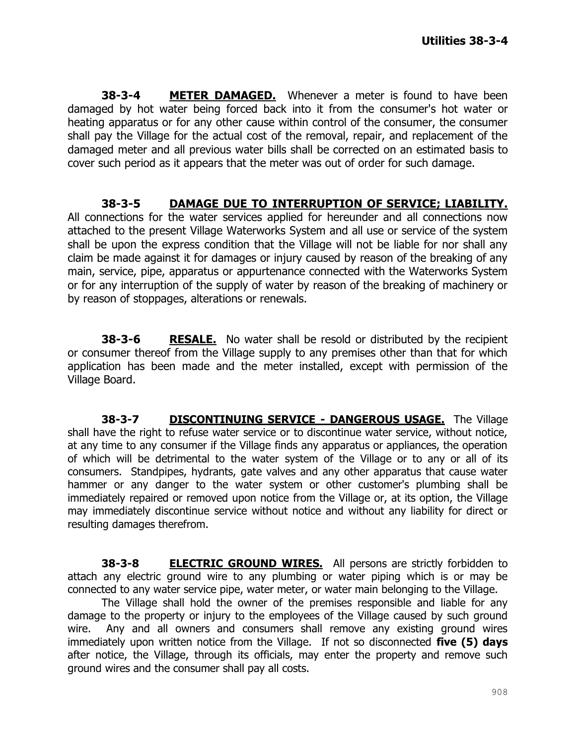**38-3-4 METER DAMAGED.** Whenever a meter is found to have been damaged by hot water being forced back into it from the consumer's hot water or heating apparatus or for any other cause within control of the consumer, the consumer shall pay the Village for the actual cost of the removal, repair, and replacement of the damaged meter and all previous water bills shall be corrected on an estimated basis to cover such period as it appears that the meter was out of order for such damage.

## **38-3-5 DAMAGE DUE TO INTERRUPTION OF SERVICE; LIABILITY.**

All connections for the water services applied for hereunder and all connections now attached to the present Village Waterworks System and all use or service of the system shall be upon the express condition that the Village will not be liable for nor shall any claim be made against it for damages or injury caused by reason of the breaking of any main, service, pipe, apparatus or appurtenance connected with the Waterworks System or for any interruption of the supply of water by reason of the breaking of machinery or by reason of stoppages, alterations or renewals.

**38-3-6 RESALE.** No water shall be resold or distributed by the recipient or consumer thereof from the Village supply to any premises other than that for which application has been made and the meter installed, except with permission of the Village Board.

**38-3-7 DISCONTINUING SERVICE - DANGEROUS USAGE.** The Village shall have the right to refuse water service or to discontinue water service, without notice, at any time to any consumer if the Village finds any apparatus or appliances, the operation of which will be detrimental to the water system of the Village or to any or all of its consumers. Standpipes, hydrants, gate valves and any other apparatus that cause water hammer or any danger to the water system or other customer's plumbing shall be immediately repaired or removed upon notice from the Village or, at its option, the Village may immediately discontinue service without notice and without any liability for direct or resulting damages therefrom.

**38-3-8 ELECTRIC GROUND WIRES.** All persons are strictly forbidden to attach any electric ground wire to any plumbing or water piping which is or may be connected to any water service pipe, water meter, or water main belonging to the Village.

The Village shall hold the owner of the premises responsible and liable for any damage to the property or injury to the employees of the Village caused by such ground wire. Any and all owners and consumers shall remove any existing ground wires immediately upon written notice from the Village. If not so disconnected **five (5) days**  after notice, the Village, through its officials, may enter the property and remove such ground wires and the consumer shall pay all costs.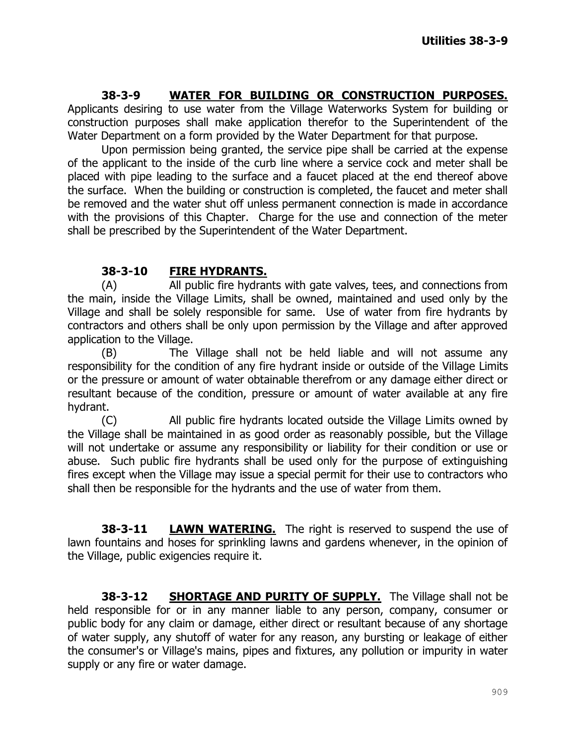# **38-3-9 WATER FOR BUILDING OR CONSTRUCTION PURPOSES.**

Applicants desiring to use water from the Village Waterworks System for building or construction purposes shall make application therefor to the Superintendent of the Water Department on a form provided by the Water Department for that purpose.

Upon permission being granted, the service pipe shall be carried at the expense of the applicant to the inside of the curb line where a service cock and meter shall be placed with pipe leading to the surface and a faucet placed at the end thereof above the surface. When the building or construction is completed, the faucet and meter shall be removed and the water shut off unless permanent connection is made in accordance with the provisions of this Chapter. Charge for the use and connection of the meter shall be prescribed by the Superintendent of the Water Department.

# **38-3-10 FIRE HYDRANTS.**

(A) All public fire hydrants with gate valves, tees, and connections from the main, inside the Village Limits, shall be owned, maintained and used only by the Village and shall be solely responsible for same. Use of water from fire hydrants by contractors and others shall be only upon permission by the Village and after approved application to the Village.

(B) The Village shall not be held liable and will not assume any responsibility for the condition of any fire hydrant inside or outside of the Village Limits or the pressure or amount of water obtainable therefrom or any damage either direct or resultant because of the condition, pressure or amount of water available at any fire hydrant.

(C) All public fire hydrants located outside the Village Limits owned by the Village shall be maintained in as good order as reasonably possible, but the Village will not undertake or assume any responsibility or liability for their condition or use or abuse. Such public fire hydrants shall be used only for the purpose of extinguishing fires except when the Village may issue a special permit for their use to contractors who shall then be responsible for the hydrants and the use of water from them.

**38-3-11 LAWN WATERING.** The right is reserved to suspend the use of lawn fountains and hoses for sprinkling lawns and gardens whenever, in the opinion of the Village, public exigencies require it.

**38-3-12 SHORTAGE AND PURITY OF SUPPLY.** The Village shall not be held responsible for or in any manner liable to any person, company, consumer or public body for any claim or damage, either direct or resultant because of any shortage of water supply, any shutoff of water for any reason, any bursting or leakage of either the consumer's or Village's mains, pipes and fixtures, any pollution or impurity in water supply or any fire or water damage.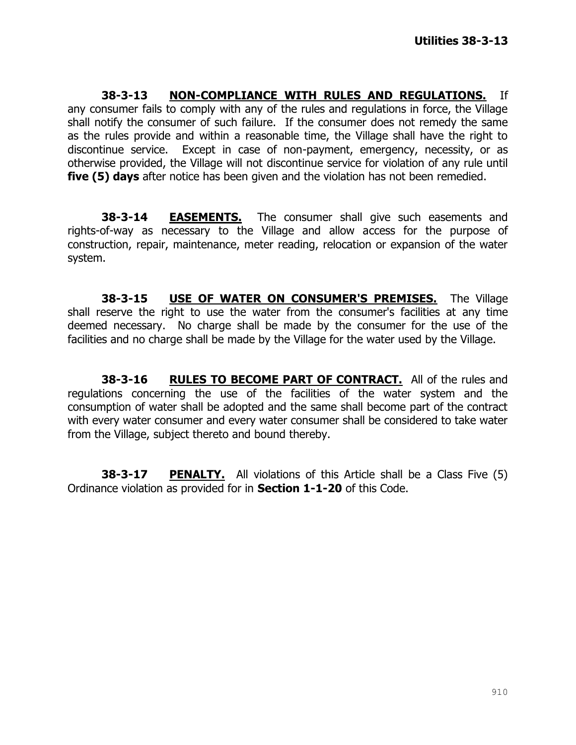**38-3-13 NON-COMPLIANCE WITH RULES AND REGULATIONS.** If any consumer fails to comply with any of the rules and regulations in force, the Village shall notify the consumer of such failure. If the consumer does not remedy the same as the rules provide and within a reasonable time, the Village shall have the right to discontinue service. Except in case of non-payment, emergency, necessity, or as otherwise provided, the Village will not discontinue service for violation of any rule until **five (5) days** after notice has been given and the violation has not been remedied.

**38-3-14 EASEMENTS.** The consumer shall give such easements and rights-of-way as necessary to the Village and allow access for the purpose of construction, repair, maintenance, meter reading, relocation or expansion of the water system.

**38-3-15 USE OF WATER ON CONSUMER'S PREMISES.** The Village shall reserve the right to use the water from the consumer's facilities at any time deemed necessary. No charge shall be made by the consumer for the use of the facilities and no charge shall be made by the Village for the water used by the Village.

**38-3-16 RULES TO BECOME PART OF CONTRACT.** All of the rules and regulations concerning the use of the facilities of the water system and the consumption of water shall be adopted and the same shall become part of the contract with every water consumer and every water consumer shall be considered to take water from the Village, subject thereto and bound thereby.

**38-3-17 PENALTY.** All violations of this Article shall be a Class Five (5) Ordinance violation as provided for in **Section 1-1-20** of this Code.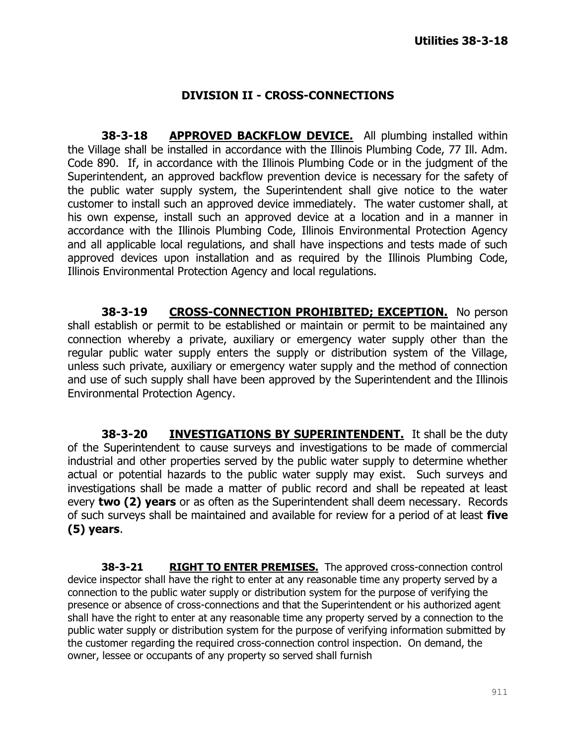#### **DIVISION II - CROSS-CONNECTIONS**

**38-3-18 APPROVED BACKFLOW DEVICE.** All plumbing installed within the Village shall be installed in accordance with the Illinois Plumbing Code, 77 Ill. Adm. Code 890. If, in accordance with the Illinois Plumbing Code or in the judgment of the Superintendent, an approved backflow prevention device is necessary for the safety of the public water supply system, the Superintendent shall give notice to the water customer to install such an approved device immediately. The water customer shall, at his own expense, install such an approved device at a location and in a manner in accordance with the Illinois Plumbing Code, Illinois Environmental Protection Agency and all applicable local regulations, and shall have inspections and tests made of such approved devices upon installation and as required by the Illinois Plumbing Code, Illinois Environmental Protection Agency and local regulations.

**38-3-19 CROSS-CONNECTION PROHIBITED; EXCEPTION.** No person shall establish or permit to be established or maintain or permit to be maintained any connection whereby a private, auxiliary or emergency water supply other than the regular public water supply enters the supply or distribution system of the Village, unless such private, auxiliary or emergency water supply and the method of connection and use of such supply shall have been approved by the Superintendent and the Illinois Environmental Protection Agency.

**38-3-20 INVESTIGATIONS BY SUPERINTENDENT.** It shall be the duty of the Superintendent to cause surveys and investigations to be made of commercial industrial and other properties served by the public water supply to determine whether actual or potential hazards to the public water supply may exist. Such surveys and investigations shall be made a matter of public record and shall be repeated at least every **two (2) years** or as often as the Superintendent shall deem necessary. Records of such surveys shall be maintained and available for review for a period of at least **five (5) years**.

**38-3-21 RIGHT TO ENTER PREMISES.** The approved cross-connection control device inspector shall have the right to enter at any reasonable time any property served by a connection to the public water supply or distribution system for the purpose of verifying the presence or absence of cross-connections and that the Superintendent or his authorized agent shall have the right to enter at any reasonable time any property served by a connection to the public water supply or distribution system for the purpose of verifying information submitted by the customer regarding the required cross-connection control inspection. On demand, the owner, lessee or occupants of any property so served shall furnish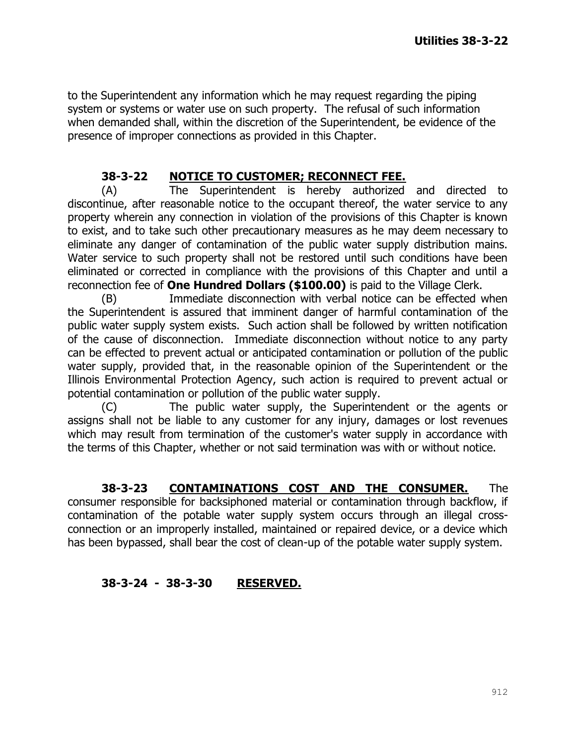to the Superintendent any information which he may request regarding the piping system or systems or water use on such property. The refusal of such information when demanded shall, within the discretion of the Superintendent, be evidence of the presence of improper connections as provided in this Chapter.

## **38-3-22 NOTICE TO CUSTOMER; RECONNECT FEE.**

(A) The Superintendent is hereby authorized and directed to discontinue, after reasonable notice to the occupant thereof, the water service to any property wherein any connection in violation of the provisions of this Chapter is known to exist, and to take such other precautionary measures as he may deem necessary to eliminate any danger of contamination of the public water supply distribution mains. Water service to such property shall not be restored until such conditions have been eliminated or corrected in compliance with the provisions of this Chapter and until a reconnection fee of **One Hundred Dollars (\$100.00)** is paid to the Village Clerk.

(B) Immediate disconnection with verbal notice can be effected when the Superintendent is assured that imminent danger of harmful contamination of the public water supply system exists. Such action shall be followed by written notification of the cause of disconnection. Immediate disconnection without notice to any party can be effected to prevent actual or anticipated contamination or pollution of the public water supply, provided that, in the reasonable opinion of the Superintendent or the Illinois Environmental Protection Agency, such action is required to prevent actual or potential contamination or pollution of the public water supply.

(C) The public water supply, the Superintendent or the agents or assigns shall not be liable to any customer for any injury, damages or lost revenues which may result from termination of the customer's water supply in accordance with the terms of this Chapter, whether or not said termination was with or without notice.

**38-3-23 CONTAMINATIONS COST AND THE CONSUMER.** The consumer responsible for backsiphoned material or contamination through backflow, if contamination of the potable water supply system occurs through an illegal crossconnection or an improperly installed, maintained or repaired device, or a device which has been bypassed, shall bear the cost of clean-up of the potable water supply system.

## **38-3-24 - 38-3-30 RESERVED.**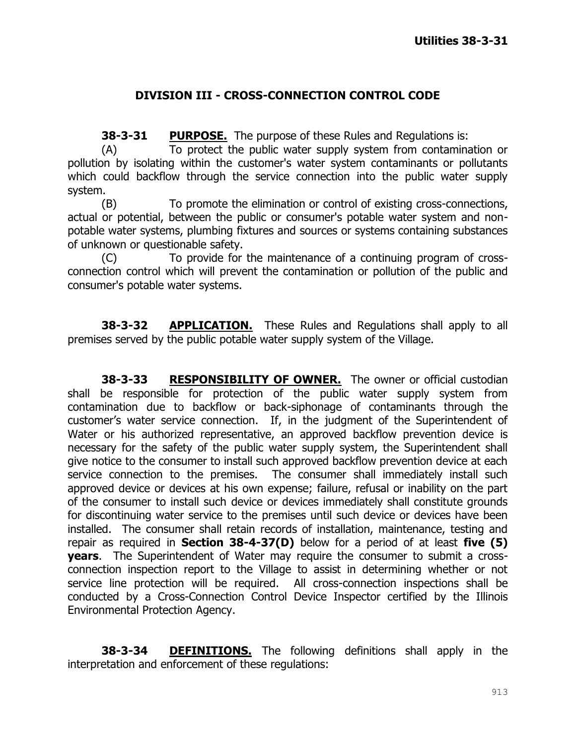## **DIVISION III - CROSS-CONNECTION CONTROL CODE**

**38-3-31 PURPOSE.** The purpose of these Rules and Regulations is:

(A) To protect the public water supply system from contamination or pollution by isolating within the customer's water system contaminants or pollutants which could backflow through the service connection into the public water supply system.

(B) To promote the elimination or control of existing cross-connections, actual or potential, between the public or consumer's potable water system and nonpotable water systems, plumbing fixtures and sources or systems containing substances of unknown or questionable safety.

(C) To provide for the maintenance of a continuing program of crossconnection control which will prevent the contamination or pollution of the public and consumer's potable water systems.

**38-3-32 APPLICATION.** These Rules and Regulations shall apply to all premises served by the public potable water supply system of the Village.

**38-3-33 RESPONSIBILITY OF OWNER.** The owner or official custodian shall be responsible for protection of the public water supply system from contamination due to backflow or back-siphonage of contaminants through the customer's water service connection. If, in the judgment of the Superintendent of Water or his authorized representative, an approved backflow prevention device is necessary for the safety of the public water supply system, the Superintendent shall give notice to the consumer to install such approved backflow prevention device at each service connection to the premises. The consumer shall immediately install such approved device or devices at his own expense; failure, refusal or inability on the part of the consumer to install such device or devices immediately shall constitute grounds for discontinuing water service to the premises until such device or devices have been installed. The consumer shall retain records of installation, maintenance, testing and repair as required in **Section 38-4-37(D)** below for a period of at least **five (5) years**. The Superintendent of Water may require the consumer to submit a crossconnection inspection report to the Village to assist in determining whether or not service line protection will be required. All cross-connection inspections shall be conducted by a Cross-Connection Control Device Inspector certified by the Illinois Environmental Protection Agency.

**38-3-34 DEFINITIONS.** The following definitions shall apply in the interpretation and enforcement of these regulations: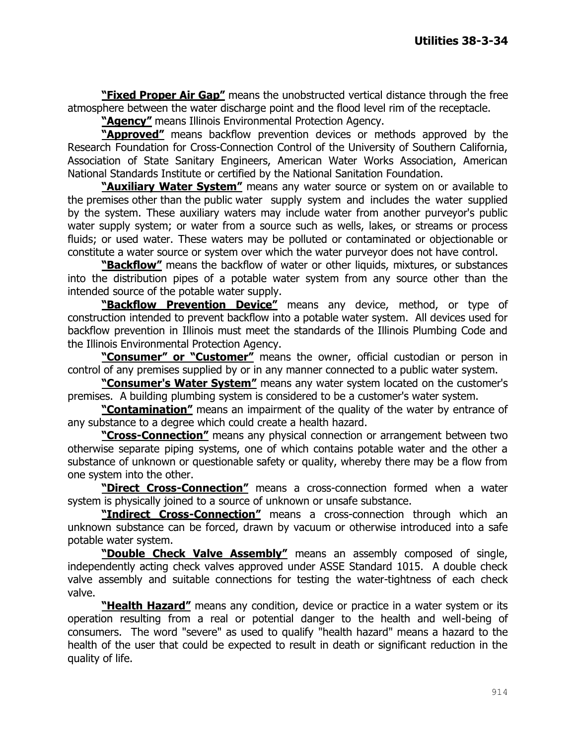**"Fixed Proper Air Gap"** means the unobstructed vertical distance through the free atmosphere between the water discharge point and the flood level rim of the receptacle.

**"Agency"** means Illinois Environmental Protection Agency.

**"Approved"** means backflow prevention devices or methods approved by the Research Foundation for Cross-Connection Control of the University of Southern California, Association of State Sanitary Engineers, American Water Works Association, American National Standards Institute or certified by the National Sanitation Foundation.

**"Auxiliary Water System"** means any water source or system on or available to the premises other than the public water supply system and includes the water supplied by the system. These auxiliary waters may include water from another purveyor's public water supply system; or water from a source such as wells, lakes, or streams or process fluids; or used water. These waters may be polluted or contaminated or objectionable or constitute a water source or system over which the water purveyor does not have control.

**"Backflow"** means the backflow of water or other liquids, mixtures, or substances into the distribution pipes of a potable water system from any source other than the intended source of the potable water supply.

**"Backflow Prevention Device"** means any device, method, or type of construction intended to prevent backflow into a potable water system. All devices used for backflow prevention in Illinois must meet the standards of the Illinois Plumbing Code and the Illinois Environmental Protection Agency.

**"Consumer" or "Customer"** means the owner, official custodian or person in control of any premises supplied by or in any manner connected to a public water system.

**"Consumer's Water System"** means any water system located on the customer's premises. A building plumbing system is considered to be a customer's water system.

**"Contamination"** means an impairment of the quality of the water by entrance of any substance to a degree which could create a health hazard.

**"Cross-Connection"** means any physical connection or arrangement between two otherwise separate piping systems, one of which contains potable water and the other a substance of unknown or questionable safety or quality, whereby there may be a flow from one system into the other.

**"Direct Cross-Connection"** means a cross-connection formed when a water system is physically joined to a source of unknown or unsafe substance.

**"Indirect Cross-Connection"** means a cross-connection through which an unknown substance can be forced, drawn by vacuum or otherwise introduced into a safe potable water system.

**"Double Check Valve Assembly"** means an assembly composed of single, independently acting check valves approved under ASSE Standard 1015. A double check valve assembly and suitable connections for testing the water-tightness of each check valve.

**"Health Hazard"** means any condition, device or practice in a water system or its operation resulting from a real or potential danger to the health and well-being of consumers. The word "severe" as used to qualify "health hazard" means a hazard to the health of the user that could be expected to result in death or significant reduction in the quality of life.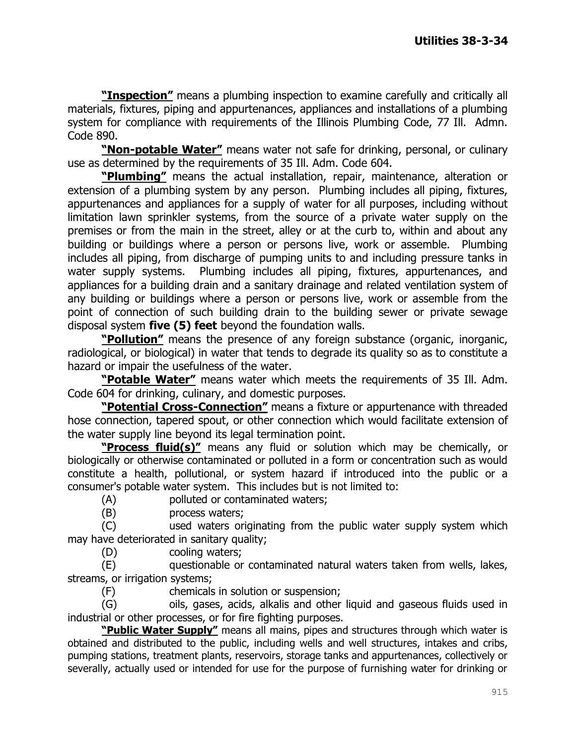**"Inspection"** means a plumbing inspection to examine carefully and critically all materials, fixtures, piping and appurtenances, appliances and installations of a plumbing system for compliance with requirements of the Illinois Plumbing Code, 77 Ill. Admn. Code 890.

**"Non-potable Water"** means water not safe for drinking, personal, or culinary use as determined by the requirements of 35 Ill. Adm. Code 604.

**"Plumbing"** means the actual installation, repair, maintenance, alteration or extension of a plumbing system by any person. Plumbing includes all piping, fixtures, appurtenances and appliances for a supply of water for all purposes, including without limitation lawn sprinkler systems, from the source of a private water supply on the premises or from the main in the street, alley or at the curb to, within and about any building or buildings where a person or persons live, work or assemble. Plumbing includes all piping, from discharge of pumping units to and including pressure tanks in water supply systems. Plumbing includes all piping, fixtures, appurtenances, and appliances for a building drain and a sanitary drainage and related ventilation system of any building or buildings where a person or persons live, work or assemble from the point of connection of such building drain to the building sewer or private sewage disposal system **five (5) feet** beyond the foundation walls.

**"Pollution"** means the presence of any foreign substance (organic, inorganic, radiological, or biological) in water that tends to degrade its quality so as to constitute a hazard or impair the usefulness of the water.

**"Potable Water"** means water which meets the requirements of 35 Ill. Adm. Code 604 for drinking, culinary, and domestic purposes.

**"Potential Cross-Connection"** means a fixture or appurtenance with threaded hose connection, tapered spout, or other connection which would facilitate extension of the water supply line beyond its legal termination point.

**"Process fluid(s)"** means any fluid or solution which may be chemically, or biologically or otherwise contaminated or polluted in a form or concentration such as would constitute a health, pollutional, or system hazard if introduced into the public or a consumer's potable water system. This includes but is not limited to:

(A) polluted or contaminated waters;

(B) process waters;

(C) used waters originating from the public water supply system which may have deteriorated in sanitary quality;

(D) cooling waters;

(E) questionable or contaminated natural waters taken from wells, lakes, streams, or irrigation systems;

(F) chemicals in solution or suspension;

(G) oils, gases, acids, alkalis and other liquid and gaseous fluids used in industrial or other processes, or for fire fighting purposes.

**"Public Water Supply"** means all mains, pipes and structures through which water is obtained and distributed to the public, including wells and well structures, intakes and cribs, pumping stations, treatment plants, reservoirs, storage tanks and appurtenances, collectively or severally, actually used or intended for use for the purpose of furnishing water for drinking or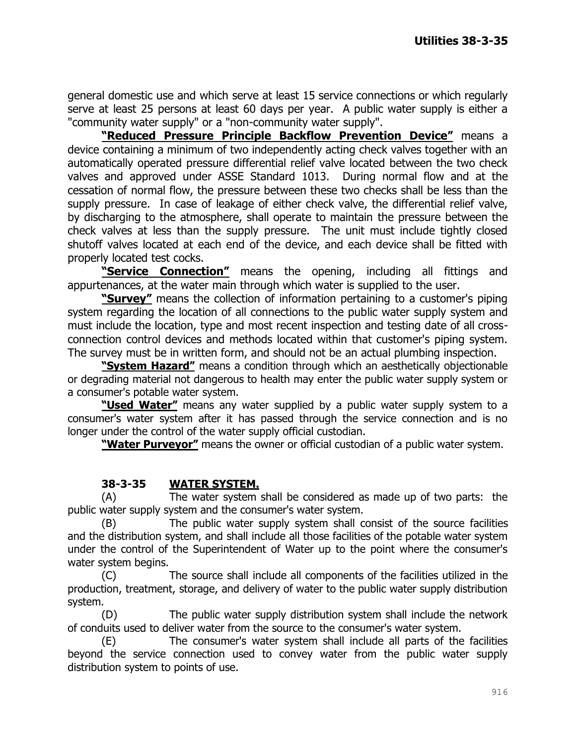general domestic use and which serve at least 15 service connections or which regularly serve at least 25 persons at least 60 days per year. A public water supply is either a "community water supply" or a "non-community water supply".

**"Reduced Pressure Principle Backflow Prevention Device"** means a device containing a minimum of two independently acting check valves together with an automatically operated pressure differential relief valve located between the two check valves and approved under ASSE Standard 1013. During normal flow and at the cessation of normal flow, the pressure between these two checks shall be less than the supply pressure. In case of leakage of either check valve, the differential relief valve, by discharging to the atmosphere, shall operate to maintain the pressure between the check valves at less than the supply pressure. The unit must include tightly closed shutoff valves located at each end of the device, and each device shall be fitted with properly located test cocks.

**"Service Connection"** means the opening, including all fittings and appurtenances, at the water main through which water is supplied to the user.

**"Survey"** means the collection of information pertaining to a customer's piping system regarding the location of all connections to the public water supply system and must include the location, type and most recent inspection and testing date of all crossconnection control devices and methods located within that customer's piping system. The survey must be in written form, and should not be an actual plumbing inspection.

**"System Hazard"** means a condition through which an aesthetically objectionable or degrading material not dangerous to health may enter the public water supply system or a consumer's potable water system.

**"Used Water"** means any water supplied by a public water supply system to a consumer's water system after it has passed through the service connection and is no longer under the control of the water supply official custodian.

**"Water Purveyor"** means the owner or official custodian of a public water system.

## **38-3-35 WATER SYSTEM.**

(A) The water system shall be considered as made up of two parts: the public water supply system and the consumer's water system.

(B) The public water supply system shall consist of the source facilities and the distribution system, and shall include all those facilities of the potable water system under the control of the Superintendent of Water up to the point where the consumer's water system begins.

(C) The source shall include all components of the facilities utilized in the production, treatment, storage, and delivery of water to the public water supply distribution system.

(D) The public water supply distribution system shall include the network of conduits used to deliver water from the source to the consumer's water system.

(E) The consumer's water system shall include all parts of the facilities beyond the service connection used to convey water from the public water supply distribution system to points of use.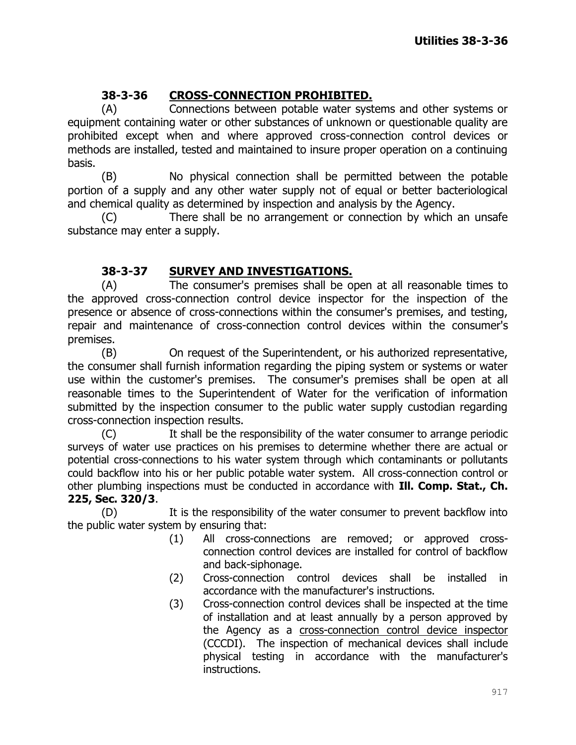# **38-3-36 CROSS-CONNECTION PROHIBITED.**

(A) Connections between potable water systems and other systems or equipment containing water or other substances of unknown or questionable quality are prohibited except when and where approved cross-connection control devices or methods are installed, tested and maintained to insure proper operation on a continuing basis.

(B) No physical connection shall be permitted between the potable portion of a supply and any other water supply not of equal or better bacteriological and chemical quality as determined by inspection and analysis by the Agency.

(C) There shall be no arrangement or connection by which an unsafe substance may enter a supply.

# **38-3-37 SURVEY AND INVESTIGATIONS.**

(A) The consumer's premises shall be open at all reasonable times to the approved cross-connection control device inspector for the inspection of the presence or absence of cross-connections within the consumer's premises, and testing, repair and maintenance of cross-connection control devices within the consumer's premises.

(B) On request of the Superintendent, or his authorized representative, the consumer shall furnish information regarding the piping system or systems or water use within the customer's premises. The consumer's premises shall be open at all reasonable times to the Superintendent of Water for the verification of information submitted by the inspection consumer to the public water supply custodian regarding cross-connection inspection results.

(C) It shall be the responsibility of the water consumer to arrange periodic surveys of water use practices on his premises to determine whether there are actual or potential cross-connections to his water system through which contaminants or pollutants could backflow into his or her public potable water system. All cross-connection control or other plumbing inspections must be conducted in accordance with **Ill. Comp. Stat., Ch. 225, Sec. 320/3**.

(D) It is the responsibility of the water consumer to prevent backflow into the public water system by ensuring that:

- (1) All cross-connections are removed; or approved crossconnection control devices are installed for control of backflow and back-siphonage.
- (2) Cross-connection control devices shall be installed in accordance with the manufacturer's instructions.
- (3) Cross-connection control devices shall be inspected at the time of installation and at least annually by a person approved by the Agency as a cross-connection control device inspector (CCCDI). The inspection of mechanical devices shall include physical testing in accordance with the manufacturer's instructions.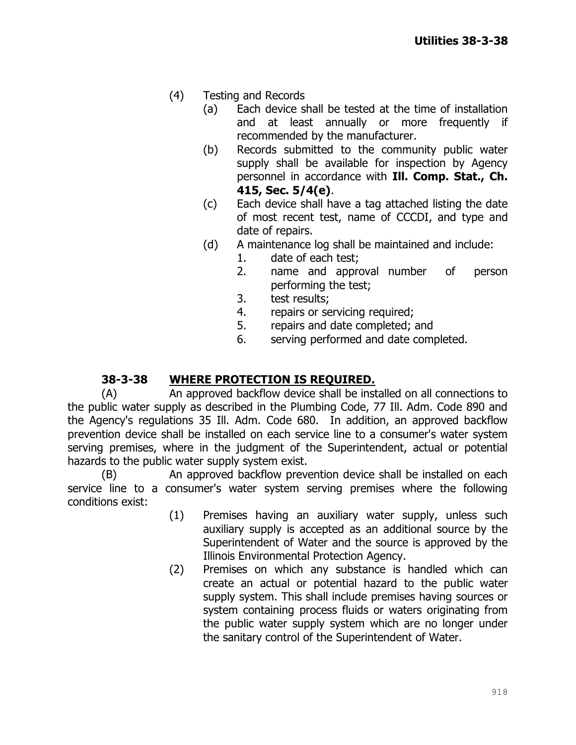- (4) Testing and Records
	- (a) Each device shall be tested at the time of installation and at least annually or more frequently if recommended by the manufacturer.
	- (b) Records submitted to the community public water supply shall be available for inspection by Agency personnel in accordance with **Ill. Comp. Stat., Ch. 415, Sec. 5/4(e)**.
	- (c) Each device shall have a tag attached listing the date of most recent test, name of CCCDI, and type and date of repairs.
	- (d) A maintenance log shall be maintained and include:
		- 1. date of each test;
		- 2. name and approval number of person performing the test;
		- 3. test results;
		- 4. repairs or servicing required;
		- 5. repairs and date completed; and
		- 6. serving performed and date completed.

## **38-3-38 WHERE PROTECTION IS REQUIRED.**

(A) An approved backflow device shall be installed on all connections to the public water supply as described in the Plumbing Code, 77 Ill. Adm. Code 890 and the Agency's regulations 35 Ill. Adm. Code 680. In addition, an approved backflow prevention device shall be installed on each service line to a consumer's water system serving premises, where in the judgment of the Superintendent, actual or potential hazards to the public water supply system exist.

(B) An approved backflow prevention device shall be installed on each service line to a consumer's water system serving premises where the following conditions exist:

- (1) Premises having an auxiliary water supply, unless such auxiliary supply is accepted as an additional source by the Superintendent of Water and the source is approved by the Illinois Environmental Protection Agency.
- (2) Premises on which any substance is handled which can create an actual or potential hazard to the public water supply system. This shall include premises having sources or system containing process fluids or waters originating from the public water supply system which are no longer under the sanitary control of the Superintendent of Water.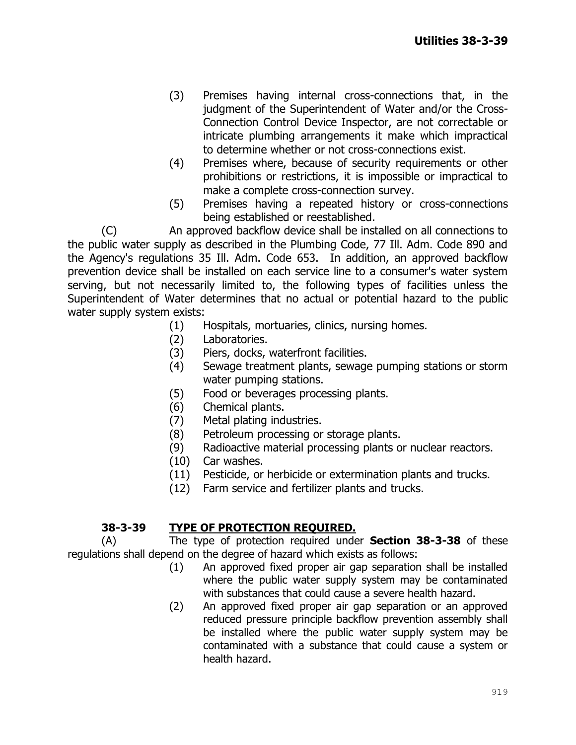- (3) Premises having internal cross-connections that, in the judgment of the Superintendent of Water and/or the Cross-Connection Control Device Inspector, are not correctable or intricate plumbing arrangements it make which impractical to determine whether or not cross-connections exist.
- (4) Premises where, because of security requirements or other prohibitions or restrictions, it is impossible or impractical to make a complete cross-connection survey.
- (5) Premises having a repeated history or cross-connections being established or reestablished.

(C) An approved backflow device shall be installed on all connections to the public water supply as described in the Plumbing Code, 77 Ill. Adm. Code 890 and the Agency's regulations 35 Ill. Adm. Code 653. In addition, an approved backflow prevention device shall be installed on each service line to a consumer's water system serving, but not necessarily limited to, the following types of facilities unless the Superintendent of Water determines that no actual or potential hazard to the public water supply system exists:

- (1) Hospitals, mortuaries, clinics, nursing homes.
- (2) Laboratories.
- (3) Piers, docks, waterfront facilities.
- (4) Sewage treatment plants, sewage pumping stations or storm water pumping stations.
- (5) Food or beverages processing plants.
- (6) Chemical plants.
- (7) Metal plating industries.
- (8) Petroleum processing or storage plants.
- (9) Radioactive material processing plants or nuclear reactors.
- (10) Car washes.
- (11) Pesticide, or herbicide or extermination plants and trucks.
- (12) Farm service and fertilizer plants and trucks.

#### **38-3-39 TYPE OF PROTECTION REQUIRED.**

(A) The type of protection required under **Section 38-3-38** of these regulations shall depend on the degree of hazard which exists as follows:

- (1) An approved fixed proper air gap separation shall be installed where the public water supply system may be contaminated with substances that could cause a severe health hazard.
- (2) An approved fixed proper air gap separation or an approved reduced pressure principle backflow prevention assembly shall be installed where the public water supply system may be contaminated with a substance that could cause a system or health hazard.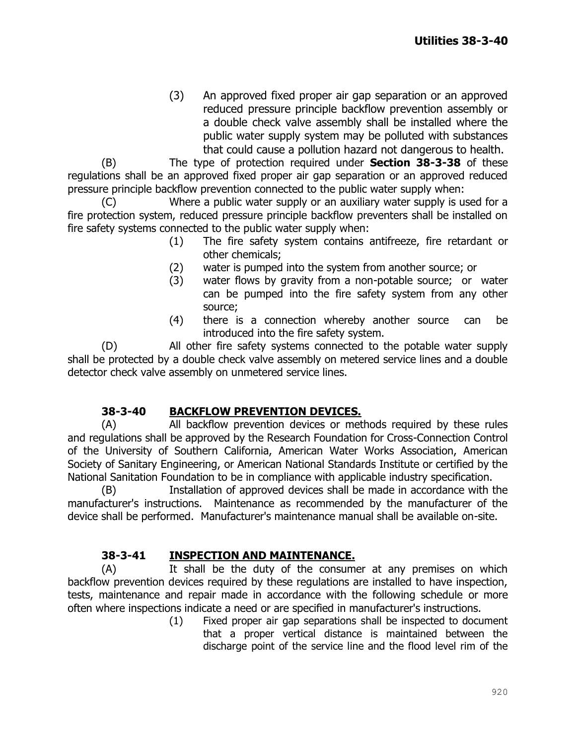(3) An approved fixed proper air gap separation or an approved reduced pressure principle backflow prevention assembly or a double check valve assembly shall be installed where the public water supply system may be polluted with substances that could cause a pollution hazard not dangerous to health.

(B) The type of protection required under **Section 38-3-38** of these regulations shall be an approved fixed proper air gap separation or an approved reduced pressure principle backflow prevention connected to the public water supply when:

(C) Where a public water supply or an auxiliary water supply is used for a fire protection system, reduced pressure principle backflow preventers shall be installed on fire safety systems connected to the public water supply when:

- (1) The fire safety system contains antifreeze, fire retardant or other chemicals;
- (2) water is pumped into the system from another source; or
- (3) water flows by gravity from a non-potable source; or water can be pumped into the fire safety system from any other source;
- (4) there is a connection whereby another source can be introduced into the fire safety system.

(D) All other fire safety systems connected to the potable water supply shall be protected by a double check valve assembly on metered service lines and a double detector check valve assembly on unmetered service lines.

## **38-3-40 BACKFLOW PREVENTION DEVICES.**

(A) All backflow prevention devices or methods required by these rules and regulations shall be approved by the Research Foundation for Cross-Connection Control of the University of Southern California, American Water Works Association, American Society of Sanitary Engineering, or American National Standards Institute or certified by the National Sanitation Foundation to be in compliance with applicable industry specification.

(B) Installation of approved devices shall be made in accordance with the manufacturer's instructions. Maintenance as recommended by the manufacturer of the device shall be performed. Manufacturer's maintenance manual shall be available on-site.

## **38-3-41 INSPECTION AND MAINTENANCE.**

(A) It shall be the duty of the consumer at any premises on which backflow prevention devices required by these regulations are installed to have inspection, tests, maintenance and repair made in accordance with the following schedule or more often where inspections indicate a need or are specified in manufacturer's instructions.

(1) Fixed proper air gap separations shall be inspected to document that a proper vertical distance is maintained between the discharge point of the service line and the flood level rim of the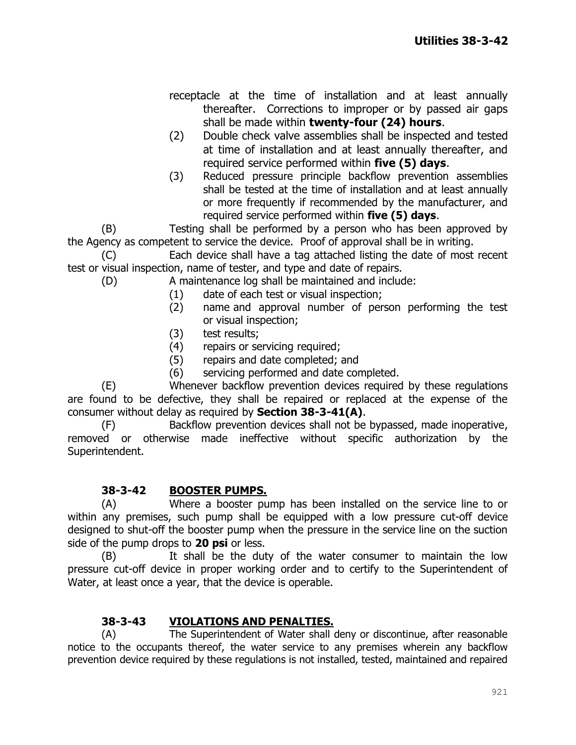receptacle at the time of installation and at least annually thereafter. Corrections to improper or by passed air gaps shall be made within **twenty-four (24) hours**.

- (2) Double check valve assemblies shall be inspected and tested at time of installation and at least annually thereafter, and required service performed within **five (5) days**.
- (3) Reduced pressure principle backflow prevention assemblies shall be tested at the time of installation and at least annually or more frequently if recommended by the manufacturer, and required service performed within **five (5) days**.

(B) Testing shall be performed by a person who has been approved by the Agency as competent to service the device. Proof of approval shall be in writing.

(C) Each device shall have a tag attached listing the date of most recent test or visual inspection, name of tester, and type and date of repairs.

(D) A maintenance log shall be maintained and include:

- (1) date of each test or visual inspection;
- (2) name and approval number of person performing the test or visual inspection;
- (3) test results;
- (4) repairs or servicing required;
- (5) repairs and date completed; and
- (6) servicing performed and date completed.

(E) Whenever backflow prevention devices required by these regulations are found to be defective, they shall be repaired or replaced at the expense of the consumer without delay as required by **Section 38-3-41(A)**.

(F) Backflow prevention devices shall not be bypassed, made inoperative, removed or otherwise made ineffective without specific authorization by the Superintendent.

## **38-3-42 BOOSTER PUMPS.**

(A) Where a booster pump has been installed on the service line to or within any premises, such pump shall be equipped with a low pressure cut-off device designed to shut-off the booster pump when the pressure in the service line on the suction side of the pump drops to **20 psi** or less.

(B) It shall be the duty of the water consumer to maintain the low pressure cut-off device in proper working order and to certify to the Superintendent of Water, at least once a year, that the device is operable.

## **38-3-43 VIOLATIONS AND PENALTIES.**

(A) The Superintendent of Water shall deny or discontinue, after reasonable notice to the occupants thereof, the water service to any premises wherein any backflow prevention device required by these regulations is not installed, tested, maintained and repaired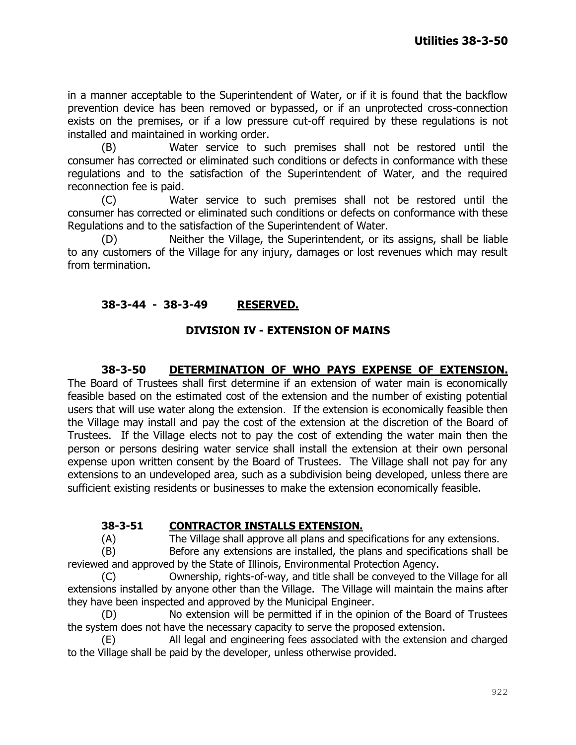in a manner acceptable to the Superintendent of Water, or if it is found that the backflow prevention device has been removed or bypassed, or if an unprotected cross-connection exists on the premises, or if a low pressure cut-off required by these regulations is not installed and maintained in working order.

(B) Water service to such premises shall not be restored until the consumer has corrected or eliminated such conditions or defects in conformance with these regulations and to the satisfaction of the Superintendent of Water, and the required reconnection fee is paid.

(C) Water service to such premises shall not be restored until the consumer has corrected or eliminated such conditions or defects on conformance with these Regulations and to the satisfaction of the Superintendent of Water.

(D) Neither the Village, the Superintendent, or its assigns, shall be liable to any customers of the Village for any injury, damages or lost revenues which may result from termination.

# **38-3-44 - 38-3-49 RESERVED.**

#### **DIVISION IV - EXTENSION OF MAINS**

### **38-3-50 DETERMINATION OF WHO PAYS EXPENSE OF EXTENSION.**

The Board of Trustees shall first determine if an extension of water main is economically feasible based on the estimated cost of the extension and the number of existing potential users that will use water along the extension. If the extension is economically feasible then the Village may install and pay the cost of the extension at the discretion of the Board of Trustees. If the Village elects not to pay the cost of extending the water main then the person or persons desiring water service shall install the extension at their own personal expense upon written consent by the Board of Trustees. The Village shall not pay for any extensions to an undeveloped area, such as a subdivision being developed, unless there are sufficient existing residents or businesses to make the extension economically feasible.

#### **38-3-51 CONTRACTOR INSTALLS EXTENSION.**

(A) The Village shall approve all plans and specifications for any extensions.

(B) Before any extensions are installed, the plans and specifications shall be reviewed and approved by the State of Illinois, Environmental Protection Agency.

(C) Ownership, rights-of-way, and title shall be conveyed to the Village for all extensions installed by anyone other than the Village. The Village will maintain the mains after they have been inspected and approved by the Municipal Engineer.

(D) No extension will be permitted if in the opinion of the Board of Trustees the system does not have the necessary capacity to serve the proposed extension.

(E) All legal and engineering fees associated with the extension and charged to the Village shall be paid by the developer, unless otherwise provided.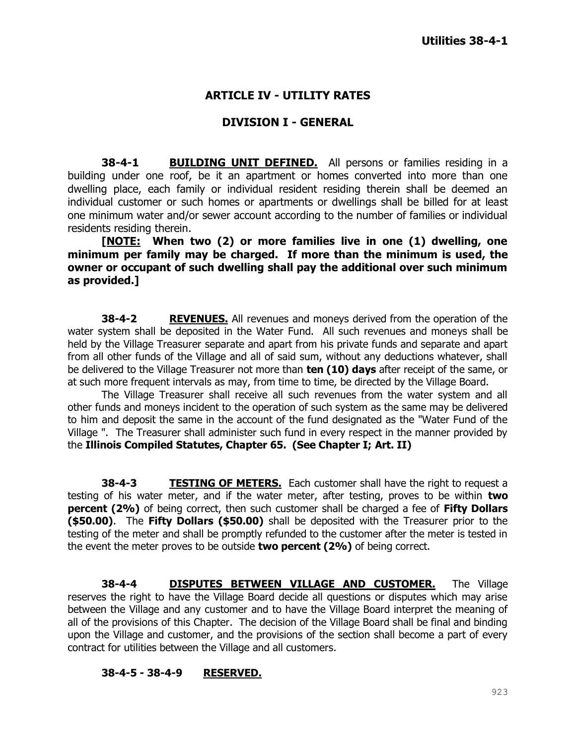### **ARTICLE IV - UTILITY RATES**

#### **DIVISION I - GENERAL**

**38-4-1 <b>BUILDING UNIT DEFINED.** All persons or families residing in a building under one roof, be it an apartment or homes converted into more than one dwelling place, each family or individual resident residing therein shall be deemed an individual customer or such homes or apartments or dwellings shall be billed for at least one minimum water and/or sewer account according to the number of families or individual residents residing therein.

**[NOTE: When two (2) or more families live in one (1) dwelling, one minimum per family may be charged. If more than the minimum is used, the owner or occupant of such dwelling shall pay the additional over such minimum as provided.]**

**38-4-2 REVENUES.** All revenues and moneys derived from the operation of the water system shall be deposited in the Water Fund. All such revenues and moneys shall be held by the Village Treasurer separate and apart from his private funds and separate and apart from all other funds of the Village and all of said sum, without any deductions whatever, shall be delivered to the Village Treasurer not more than **ten (10) days** after receipt of the same, or at such more frequent intervals as may, from time to time, be directed by the Village Board.

The Village Treasurer shall receive all such revenues from the water system and all other funds and moneys incident to the operation of such system as the same may be delivered to him and deposit the same in the account of the fund designated as the "Water Fund of the Village ". The Treasurer shall administer such fund in every respect in the manner provided by the **Illinois Compiled Statutes, Chapter 65. (See Chapter I; Art. II)**

**38-4-3 TESTING OF METERS.** Each customer shall have the right to request a testing of his water meter, and if the water meter, after testing, proves to be within **two percent (2%)** of being correct, then such customer shall be charged a fee of **Fifty Dollars (\$50.00)**. The **Fifty Dollars (\$50.00)** shall be deposited with the Treasurer prior to the testing of the meter and shall be promptly refunded to the customer after the meter is tested in the event the meter proves to be outside **two percent (2%)** of being correct.

**38-4-4 DISPUTES BETWEEN VILLAGE AND CUSTOMER.** The Village reserves the right to have the Village Board decide all questions or disputes which may arise between the Village and any customer and to have the Village Board interpret the meaning of all of the provisions of this Chapter. The decision of the Village Board shall be final and binding upon the Village and customer, and the provisions of the section shall become a part of every contract for utilities between the Village and all customers.

#### **38-4-5 - 38-4-9 RESERVED.**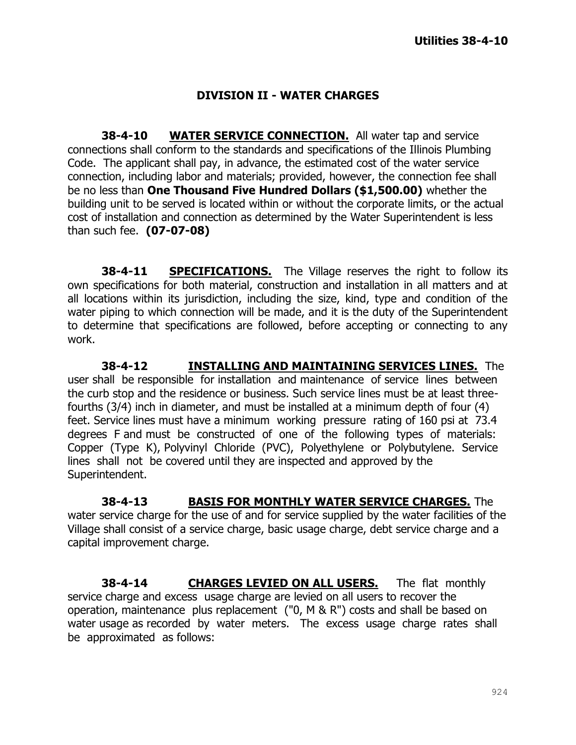## **DIVISION II - WATER CHARGES**

**38-4-10 WATER SERVICE CONNECTION.** All water tap and service connections shall conform to the standards and specifications of the Illinois Plumbing Code. The applicant shall pay, in advance, the estimated cost of the water service connection, including labor and materials; provided, however, the connection fee shall be no less than **One Thousand Five Hundred Dollars (\$1,500.00)** whether the building unit to be served is located within or without the corporate limits, or the actual cost of installation and connection as determined by the Water Superintendent is less than such fee. **(07-07-08)**

**38-4-11 SPECIFICATIONS.** The Village reserves the right to follow its own specifications for both material, construction and installation in all matters and at all locations within its jurisdiction, including the size, kind, type and condition of the water piping to which connection will be made, and it is the duty of the Superintendent to determine that specifications are followed, before accepting or connecting to any work.

**38-4-12 INSTALLING AND MAINTAINING SERVICES LINES.** The user shall be responsible for installation and maintenance of service lines between the curb stop and the residence or business. Such service lines must be at least threefourths (3/4) inch in diameter, and must be installed at a minimum depth of four (4) feet. Service lines must have a minimum working pressure rating of 160 psi at 73.4 degrees F and must be constructed of one of the following types of materials: Copper (Type K), Polyvinyl Chloride (PVC), Polyethylene or Polybutylene. Service lines shall not be covered until they are inspected and approved by the Superintendent.

**38-4-13 BASIS FOR MONTHLY WATER SERVICE CHARGES.** The water service charge for the use of and for service supplied by the water facilities of the Village shall consist of a service charge, basic usage charge, debt service charge and a capital improvement charge.

**38-4-14 CHARGES LEVIED ON ALL USERS.** The flat monthly service charge and excess usage charge are levied on all users to recover the operation, maintenance plus replacement ("0, M & R") costs and shall be based on water usage as recorded by water meters. The excess usage charge rates shall be approximated as follows: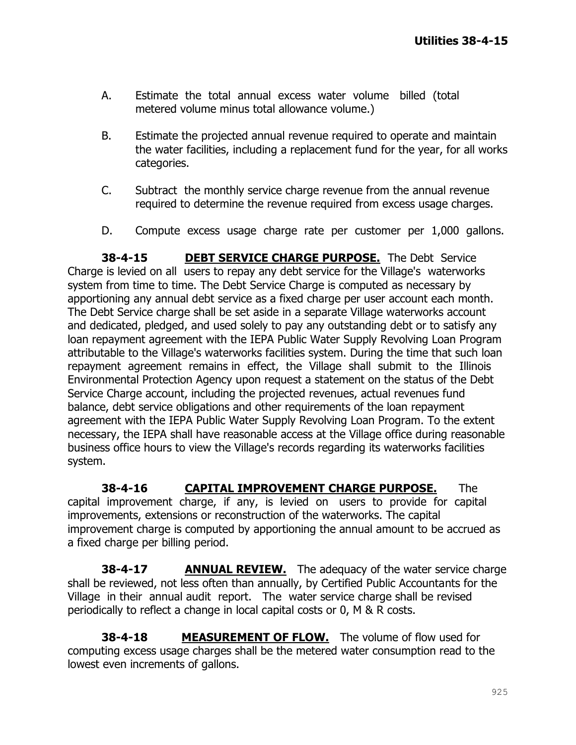- A. Estimate the total annual excess water volume billed (total metered volume minus total allowance volume.)
- B. Estimate the projected annual revenue required to operate and maintain the water facilities, including a replacement fund for the year, for all works categories.
- C. Subtract the monthly service charge revenue from the annual revenue required to determine the revenue required from excess usage charges.
- D. Compute excess usage charge rate per customer per 1,000 gallons.

**38-4-15 DEBT SERVICE CHARGE PURPOSE.** The Debt Service Charge is levied on all users to repay any debt service for the Village's waterworks system from time to time. The Debt Service Charge is computed as necessary by apportioning any annual debt service as a fixed charge per user account each month. The Debt Service charge shall be set aside in a separate Village waterworks account and dedicated, pledged, and used solely to pay any outstanding debt or to satisfy any loan repayment agreement with the IEPA Public Water Supply Revolving Loan Program attributable to the Village's waterworks facilities system. During the time that such loan repayment agreement remains in effect, the Village shall submit to the Illinois Environmental Protection Agency upon request a statement on the status of the Debt Service Charge account, including the projected revenues, actual revenues fund balance, debt service obligations and other requirements of the loan repayment agreement with the IEPA Public Water Supply Revolving Loan Program. To the extent necessary, the IEPA shall have reasonable access at the Village office during reasonable business office hours to view the Village's records regarding its waterworks facilities system.

**38-4-16 CAPITAL IMPROVEMENT CHARGE PURPOSE.** The capital improvement charge, if any, is levied on users to provide for capital improvements, extensions or reconstruction of the waterworks. The capital improvement charge is computed by apportioning the annual amount to be accrued as a fixed charge per billing period.

**38-4-17** ANNUAL REVIEW. The adequacy of the water service charge shall be reviewed, not less often than annually, by Certified Public Accountants for the Village in their annual audit report. The water service charge shall be revised periodically to reflect a change in local capital costs or 0, M & R costs.

**38-4-18** MEASUREMENT OF FLOW. The volume of flow used for computing excess usage charges shall be the metered water consumption read to the lowest even increments of gallons.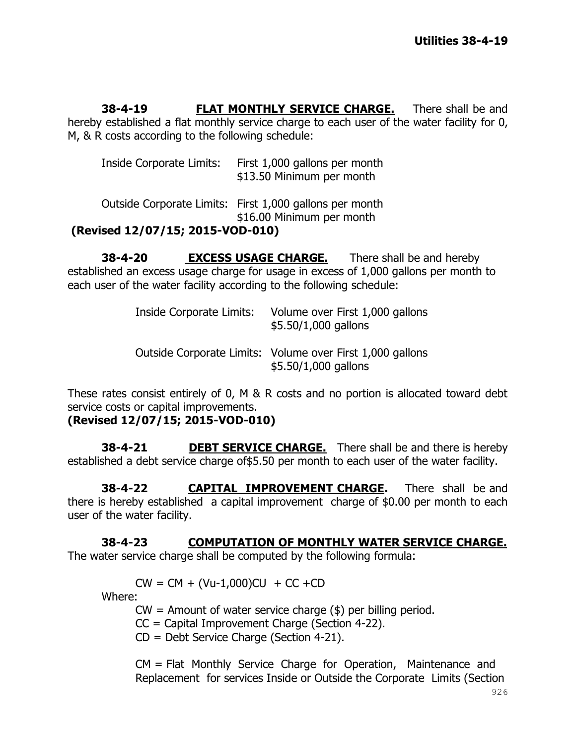**38-4-19 FLAT MONTHLY SERVICE CHARGE.** There shall be and hereby established a flat monthly service charge to each user of the water facility for 0, M, & R costs according to the following schedule:

| Inside Corporate Limits:         | First 1,000 gallons per month<br>\$13.50 Minimum per month                           |
|----------------------------------|--------------------------------------------------------------------------------------|
|                                  | Outside Corporate Limits: First 1,000 gallons per month<br>\$16.00 Minimum per month |
| (Revised 12/07/15; 2015-VOD-010) |                                                                                      |

**38-4-20 EXCESS USAGE CHARGE.** There shall be and hereby established an excess usage charge for usage in excess of 1,000 gallons per month to each user of the water facility according to the following schedule:

| Inside Corporate Limits: | Volume over First 1,000 gallons<br>\$5.50/1,000 gallons                           |
|--------------------------|-----------------------------------------------------------------------------------|
|                          | Outside Corporate Limits: Volume over First 1,000 gallons<br>\$5.50/1,000 gallons |

These rates consist entirely of 0, M & R costs and no portion is allocated toward debt service costs or capital improvements.

**(Revised 12/07/15; 2015-VOD-010)**

**38-4-21 DEBT SERVICE CHARGE.** There shall be and there is hereby established a debt service charge of \$5.50 per month to each user of the water facility.

**38-4-22 CAPITAL IMPROVEMENT CHARGE.** There shall be and there is hereby established a capital improvement charge of \$0.00 per month to each user of the water facility.

**38-4-23 COMPUTATION OF MONTHLY WATER SERVICE CHARGE.** The water service charge shall be computed by the following formula:

 $CW = CM + (Vu-1,000)CU + CC + CD$ 

Where:

 $CW =$  Amount of water service charge  $(\$)$  per billing period.

CC = Capital Improvement Charge (Section 4-22).

CD = Debt Service Charge (Section 4-21).

CM = Flat Monthly Service Charge for Operation, Maintenance and Replacement for services Inside or Outside the Corporate Limits (Section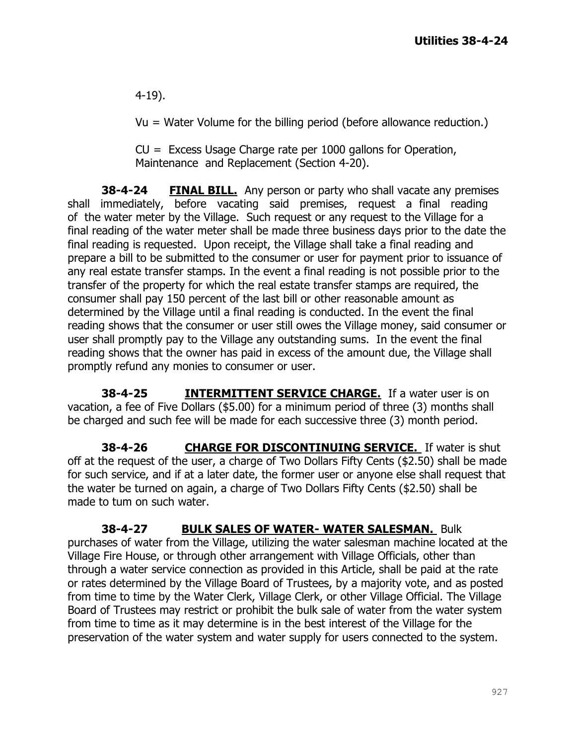4-19).

Vu = Water Volume for the billing period (before allowance reduction.)

 $CU = Excess$  Usage Charge rate per 1000 gallons for Operation, Maintenance and Replacement (Section 4-20).

**38-4-24 FINAL BILL.** Any person or party who shall vacate any premises shall immediately, before vacating said premises, request a final reading of the water meter by the Village. Such request or any request to the Village for a final reading of the water meter shall be made three business days prior to the date the final reading is requested. Upon receipt, the Village shall take a final reading and prepare a bill to be submitted to the consumer or user for payment prior to issuance of any real estate transfer stamps. In the event a final reading is not possible prior to the transfer of the property for which the real estate transfer stamps are required, the consumer shall pay 150 percent of the last bill or other reasonable amount as determined by the Village until a final reading is conducted. In the event the final reading shows that the consumer or user still owes the Village money, said consumer or user shall promptly pay to the Village any outstanding sums. In the event the final reading shows that the owner has paid in excess of the amount due, the Village shall promptly refund any monies to consumer or user.

**38-4-25 INTERMITTENT SERVICE CHARGE.** If a water user is on vacation, a fee of Five Dollars (\$5.00) for a minimum period of three (3) months shall be charged and such fee will be made for each successive three (3) month period.

**38-4-26 CHARGE FOR DISCONTINUING SERVICE.** If water is shut off at the request of the user, a charge of Two Dollars Fifty Cents (\$2.50) shall be made for such service, and if at a later date, the former user or anyone else shall request that the water be turned on again, a charge of Two Dollars Fifty Cents (\$2.50) shall be made to tum on such water.

**38-4-27 BULK SALES OF WATER- WATER SALESMAN.** Bulk purchases of water from the Village, utilizing the water salesman machine located at the Village Fire House, or through other arrangement with Village Officials, other than through a water service connection as provided in this Article, shall be paid at the rate or rates determined by the Village Board of Trustees, by a majority vote, and as posted from time to time by the Water Clerk, Village Clerk, or other Village Official. The Village Board of Trustees may restrict or prohibit the bulk sale of water from the water system from time to time as it may determine is in the best interest of the Village for the preservation of the water system and water supply for users connected to the system.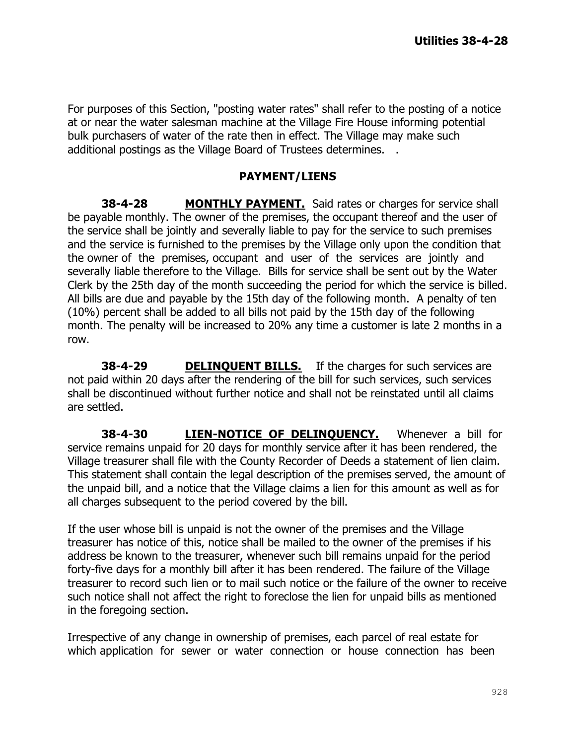For purposes of this Section, "posting water rates" shall refer to the posting of a notice at or near the water salesman machine at the Village Fire House informing potential bulk purchasers of water of the rate then in effect. The Village may make such additional postings as the Village Board of Trustees determines. .

#### **PAYMENT/LIENS**

**38-4-28 MONTHLY PAYMENT.** Said rates or charges for service shall be payable monthly. The owner of the premises, the occupant thereof and the user of the service shall be jointly and severally liable to pay for the service to such premises and the service is furnished to the premises by the Village only upon the condition that the owner of the premises, occupant and user of the services are jointly and severally liable therefore to the Village. Bills for service shall be sent out by the Water Clerk by the 25th day of the month succeeding the period for which the service is billed. All bills are due and payable by the 15th day of the following month. A penalty of ten (10%) percent shall be added to all bills not paid by the 15th day of the following month. The penalty will be increased to 20% any time a customer is late 2 months in a row.

**38-4-29 DELINQUENT BILLS.** If the charges for such services are not paid within 20 days after the rendering of the bill for such services, such services shall be discontinued without further notice and shall not be reinstated until all claims are settled.

**38-4-30 LIEN-NOTICE OF DELINQUENCY.** Whenever a bill for service remains unpaid for 20 days for monthly service after it has been rendered, the Village treasurer shall file with the County Recorder of Deeds a statement of lien claim. This statement shall contain the legal description of the premises served, the amount of the unpaid bill, and a notice that the Village claims a lien for this amount as well as for all charges subsequent to the period covered by the bill.

If the user whose bill is unpaid is not the owner of the premises and the Village treasurer has notice of this, notice shall be mailed to the owner of the premises if his address be known to the treasurer, whenever such bill remains unpaid for the period forty-five days for a monthly bill after it has been rendered. The failure of the Village treasurer to record such lien or to mail such notice or the failure of the owner to receive such notice shall not affect the right to foreclose the lien for unpaid bills as mentioned in the foregoing section.

Irrespective of any change in ownership of premises, each parcel of real estate for which application for sewer or water connection or house connection has been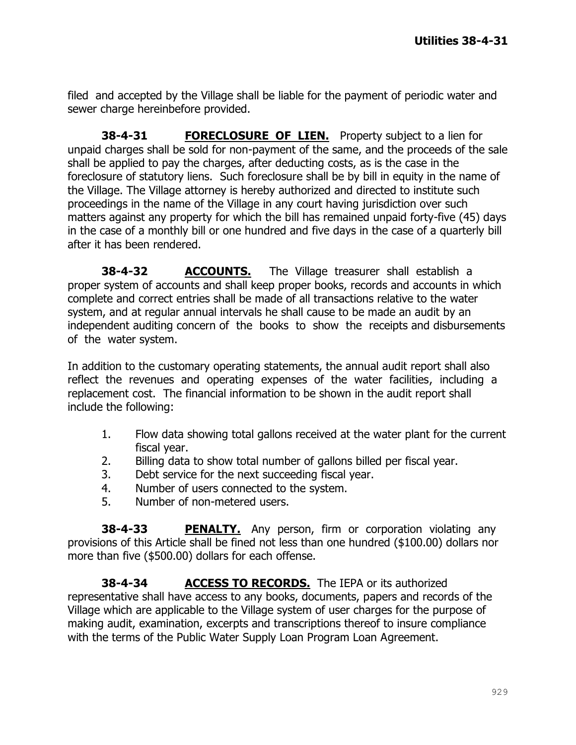filed and accepted by the Village shall be liable for the payment of periodic water and sewer charge hereinbefore provided.

**38-4-31 FORECLOSURE OF LIEN.** Property subject to a lien for unpaid charges shall be sold for non-payment of the same, and the proceeds of the sale shall be applied to pay the charges, after deducting costs, as is the case in the foreclosure of statutory liens. Such foreclosure shall be by bill in equity in the name of the Village. The Village attorney is hereby authorized and directed to institute such proceedings in the name of the Village in any court having jurisdiction over such matters against any property for which the bill has remained unpaid forty-five (45) days in the case of a monthly bill or one hundred and five days in the case of a quarterly bill after it has been rendered.

**38-4-32 ACCOUNTS.** The Village treasurer shall establish a proper system of accounts and shall keep proper books, records and accounts in which complete and correct entries shall be made of all transactions relative to the water system, and at regular annual intervals he shall cause to be made an audit by an independent auditing concern of the books to show the receipts and disbursements of the water system.

In addition to the customary operating statements, the annual audit report shall also reflect the revenues and operating expenses of the water facilities, including a replacement cost. The financial information to be shown in the audit report shall include the following:

- 1. Flow data showing total gallons received at the water plant for the current fiscal year.
- 2. Billing data to show total number of gallons billed per fiscal year.
- 3. Debt service for the next succeeding fiscal year.
- 4. Number of users connected to the system.
- 5. Number of non-metered users.

**38-4-33** PENALTY. Any person, firm or corporation violating any provisions of this Article shall be fined not less than one hundred (\$100.00) dollars nor more than five (\$500.00) dollars for each offense.

**38-4-34 ACCESS TO RECORDS.** The IEPA or its authorized representative shall have access to any books, documents, papers and records of the Village which are applicable to the Village system of user charges for the purpose of making audit, examination, excerpts and transcriptions thereof to insure compliance with the terms of the Public Water Supply Loan Program Loan Agreement.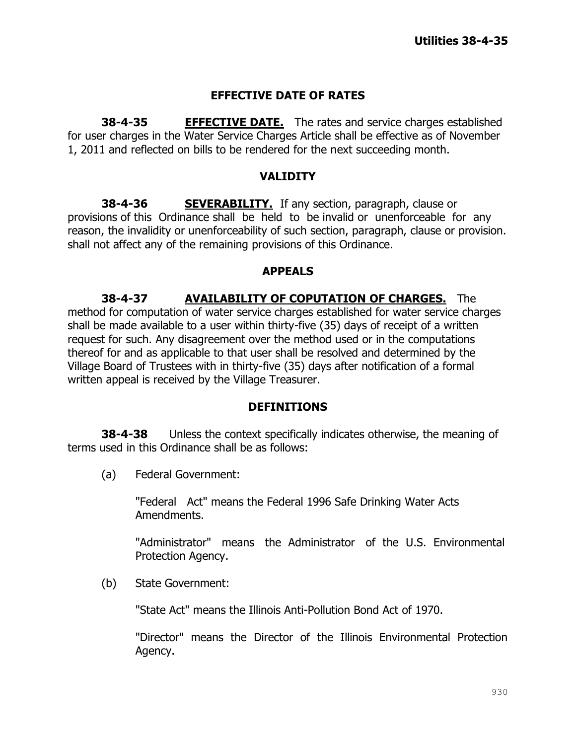## **EFFECTIVE DATE OF RATES**

**38-4-35 EFFECTIVE DATE.** The rates and service charges established for user charges in the Water Service Charges Article shall be effective as of November 1, 2011 and reflected on bills to be rendered for the next succeeding month.

#### **VALIDITY**

**38-4-36 SEVERABILITY.** If any section, paragraph, clause or provisions of this Ordinance shall be held to be invalid or unenforceable for any reason, the invalidity or unenforceability of such section, paragraph, clause or provision. shall not affect any of the remaining provisions of this Ordinance.

#### **APPEALS**

**38-4-37 AVAILABILITY OF COPUTATION OF CHARGES.** The method for computation of water service charges established for water service charges shall be made available to a user within thirty-five (35) days of receipt of a written request for such. Any disagreement over the method used or in the computations thereof for and as applicable to that user shall be resolved and determined by the Village Board of Trustees with in thirty-five (35) days after notification of a formal written appeal is received by the Village Treasurer.

#### **DEFINITIONS**

**38-4-38** Unless the context specifically indicates otherwise, the meaning of terms used in this Ordinance shall be as follows:

(a) Federal Government:

"Federal Act" means the Federal 1996 Safe Drinking Water Acts Amendments.

"Administrator" means the Administrator of the U.S. Environmental Protection Agency.

(b) State Government:

"State Act" means the Illinois Anti-Pollution Bond Act of 1970.

"Director" means the Director of the Illinois Environmental Protection Agency.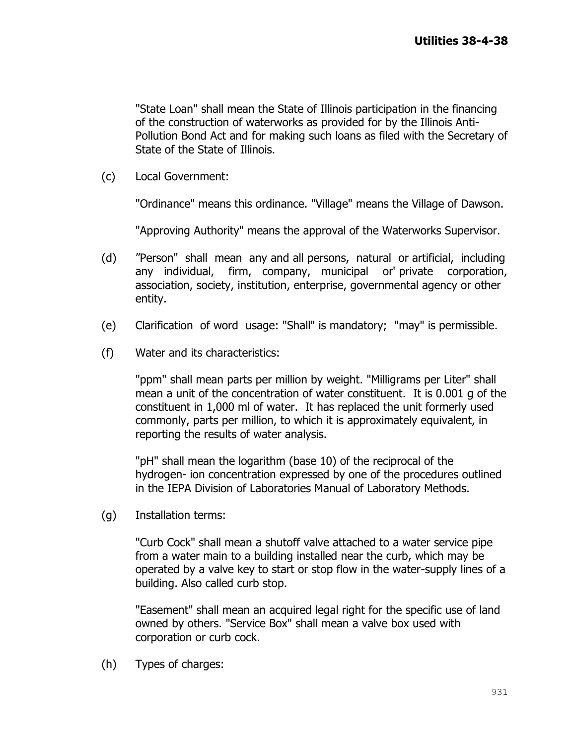"State Loan" shall mean the State of Illinois participation in the financing of the construction of waterworks as provided for by the Illinois Anti-Pollution Bond Act and for making such loans as filed with the Secretary of State of the State of Illinois.

(c) Local Government:

"Ordinance" means this ordinance. "Village" means the Village of Dawson.

"Approving Authority" means the approval of the Waterworks Supervisor.

- (d) "Person" shall mean any and all persons, natural or artificial, including any individual, firm, company, municipal or' private corporation, association, society, institution, enterprise, governmental agency or other entity.
- (e) Clarification of word usage: "Shall" is mandatory; "may" is permissible.
- (f) Water and its characteristics:

"ppm" shall mean parts per million by weight. "Milligrams per Liter" shall mean a unit of the concentration of water constituent. It is 0.001 g of the constituent in 1,000 ml of water. It has replaced the unit formerly used commonly, parts per million, to which it is approximately equivalent, in reporting the results of water analysis.

"pH" shall mean the logarithm (base 10) of the reciprocal of the hydrogen- ion concentration expressed by one of the procedures outlined in the IEPA Division of Laboratories Manual of Laboratory Methods.

(g) Installation terms:

"Curb Cock" shall mean a shutoff valve attached to a water service pipe from a water main to a building installed near the curb, which may be operated by a valve key to start or stop flow in the water-supply lines of a building. Also called curb stop.

"Easement" shall mean an acquired legal right for the specific use of land owned by others. "Service Box" shall mean a valve box used with corporation or curb cock.

(h) Types of charges: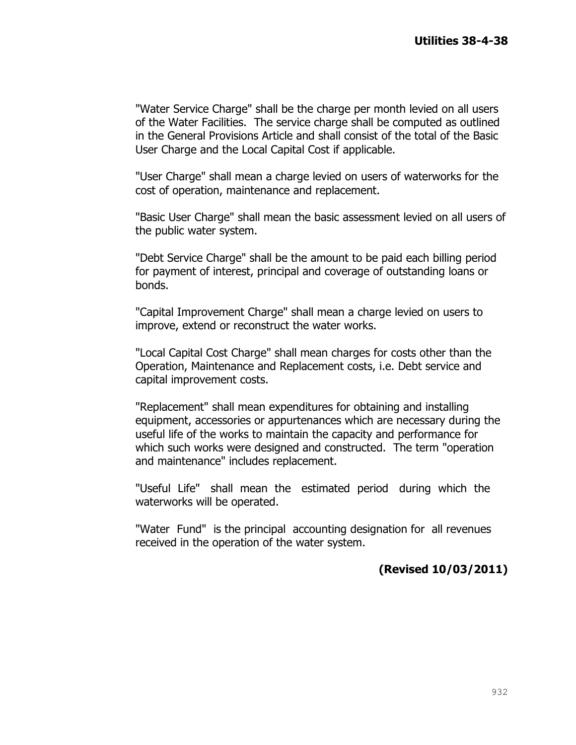"Water Service Charge" shall be the charge per month levied on all users of the Water Facilities. The service charge shall be computed as outlined in the General Provisions Article and shall consist of the total of the Basic User Charge and the Local Capital Cost if applicable.

"User Charge" shall mean a charge levied on users of waterworks for the cost of operation, maintenance and replacement.

"Basic User Charge" shall mean the basic assessment levied on all users of the public water system.

"Debt Service Charge" shall be the amount to be paid each billing period for payment of interest, principal and coverage of outstanding loans or bonds.

"Capital Improvement Charge" shall mean a charge levied on users to improve, extend or reconstruct the water works.

"Local Capital Cost Charge" shall mean charges for costs other than the Operation, Maintenance and Replacement costs, i.e. Debt service and capital improvement costs.

"Replacement" shall mean expenditures for obtaining and installing equipment, accessories or appurtenances which are necessary during the useful life of the works to maintain the capacity and performance for which such works were designed and constructed. The term "operation and maintenance" includes replacement.

"Useful Life" shall mean the estimated period during which the waterworks will be operated.

"Water Fund" is the principal accounting designation for all revenues received in the operation of the water system.

## **(Revised 10/03/2011)**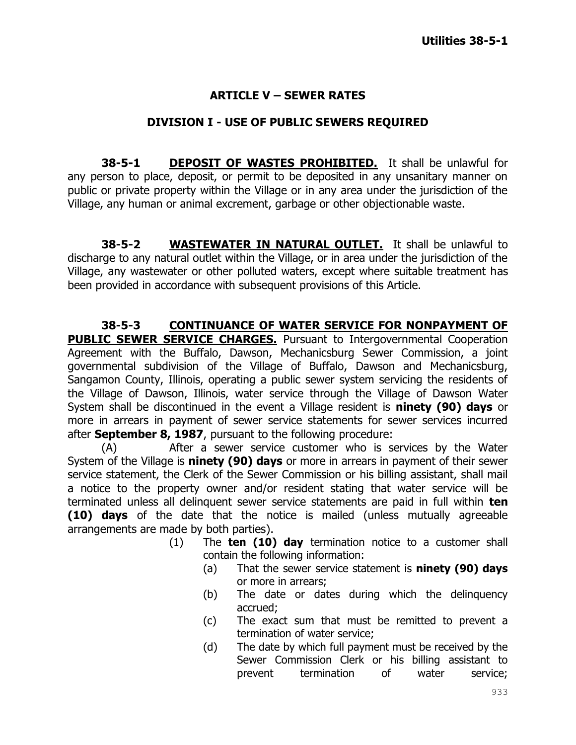## **ARTICLE V – SEWER RATES**

#### **DIVISION I - USE OF PUBLIC SEWERS REQUIRED**

**38-5-1 DEPOSIT OF WASTES PROHIBITED.** It shall be unlawful for any person to place, deposit, or permit to be deposited in any unsanitary manner on public or private property within the Village or in any area under the jurisdiction of the Village, any human or animal excrement, garbage or other objectionable waste.

**38-5-2 WASTEWATER IN NATURAL OUTLET.** It shall be unlawful to discharge to any natural outlet within the Village, or in area under the jurisdiction of the Village, any wastewater or other polluted waters, except where suitable treatment has been provided in accordance with subsequent provisions of this Article.

**38-5-3 CONTINUANCE OF WATER SERVICE FOR NONPAYMENT OF PUBLIC SEWER SERVICE CHARGES.** Pursuant to Intergovernmental Cooperation Agreement with the Buffalo, Dawson, Mechanicsburg Sewer Commission, a joint governmental subdivision of the Village of Buffalo, Dawson and Mechanicsburg, Sangamon County, Illinois, operating a public sewer system servicing the residents of the Village of Dawson, Illinois, water service through the Village of Dawson Water System shall be discontinued in the event a Village resident is **ninety (90) days** or more in arrears in payment of sewer service statements for sewer services incurred after **September 8, 1987**, pursuant to the following procedure:

(A) After a sewer service customer who is services by the Water System of the Village is **ninety (90) days** or more in arrears in payment of their sewer service statement, the Clerk of the Sewer Commission or his billing assistant, shall mail a notice to the property owner and/or resident stating that water service will be terminated unless all delinquent sewer service statements are paid in full within **ten (10) days** of the date that the notice is mailed (unless mutually agreeable arrangements are made by both parties).

- (1) The **ten (10) day** termination notice to a customer shall contain the following information:
	- (a) That the sewer service statement is **ninety (90) days** or more in arrears;
	- (b) The date or dates during which the delinquency accrued;
	- (c) The exact sum that must be remitted to prevent a termination of water service;
	- (d) The date by which full payment must be received by the Sewer Commission Clerk or his billing assistant to prevent termination of water service;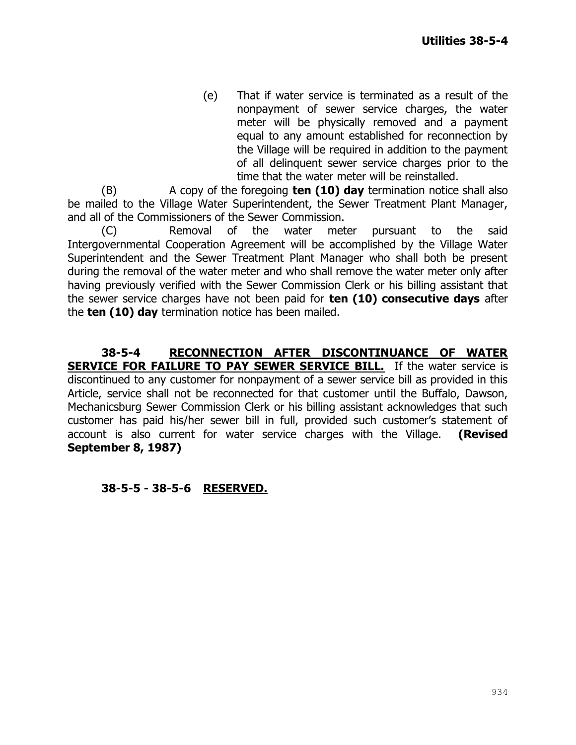(e) That if water service is terminated as a result of the nonpayment of sewer service charges, the water meter will be physically removed and a payment equal to any amount established for reconnection by the Village will be required in addition to the payment of all delinquent sewer service charges prior to the time that the water meter will be reinstalled.

(B) A copy of the foregoing **ten (10) day** termination notice shall also be mailed to the Village Water Superintendent, the Sewer Treatment Plant Manager, and all of the Commissioners of the Sewer Commission.

(C) Removal of the water meter pursuant to the said Intergovernmental Cooperation Agreement will be accomplished by the Village Water Superintendent and the Sewer Treatment Plant Manager who shall both be present during the removal of the water meter and who shall remove the water meter only after having previously verified with the Sewer Commission Clerk or his billing assistant that the sewer service charges have not been paid for **ten (10) consecutive days** after the **ten (10) day** termination notice has been mailed.

**38-5-4 RECONNECTION AFTER DISCONTINUANCE OF WATER SERVICE FOR FAILURE TO PAY SEWER SERVICE BILL.** If the water service is discontinued to any customer for nonpayment of a sewer service bill as provided in this Article, service shall not be reconnected for that customer until the Buffalo, Dawson, Mechanicsburg Sewer Commission Clerk or his billing assistant acknowledges that such customer has paid his/her sewer bill in full, provided such customer's statement of account is also current for water service charges with the Village. **(Revised September 8, 1987)**

#### **38-5-5 - 38-5-6 RESERVED.**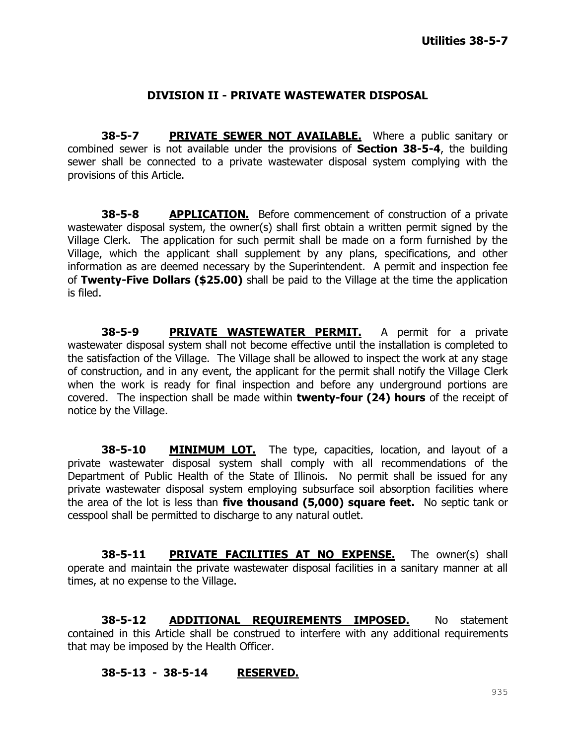#### **DIVISION II - PRIVATE WASTEWATER DISPOSAL**

**38-5-7 PRIVATE SEWER NOT AVAILABLE.** Where a public sanitary or combined sewer is not available under the provisions of **Section 38-5-4**, the building sewer shall be connected to a private wastewater disposal system complying with the provisions of this Article.

**38-5-8 APPLICATION.** Before commencement of construction of a private wastewater disposal system, the owner(s) shall first obtain a written permit signed by the Village Clerk. The application for such permit shall be made on a form furnished by the Village, which the applicant shall supplement by any plans, specifications, and other information as are deemed necessary by the Superintendent. A permit and inspection fee of **Twenty-Five Dollars (\$25.00)** shall be paid to the Village at the time the application is filed.

**38-5-9 PRIVATE WASTEWATER PERMIT.** A permit for a private wastewater disposal system shall not become effective until the installation is completed to the satisfaction of the Village. The Village shall be allowed to inspect the work at any stage of construction, and in any event, the applicant for the permit shall notify the Village Clerk when the work is ready for final inspection and before any underground portions are covered. The inspection shall be made within **twenty-four (24) hours** of the receipt of notice by the Village.

**38-5-10 MINIMUM LOT.** The type, capacities, location, and layout of a private wastewater disposal system shall comply with all recommendations of the Department of Public Health of the State of Illinois. No permit shall be issued for any private wastewater disposal system employing subsurface soil absorption facilities where the area of the lot is less than **five thousand (5,000) square feet.** No septic tank or cesspool shall be permitted to discharge to any natural outlet.

**38-5-11 PRIVATE FACILITIES AT NO EXPENSE.** The owner(s) shall operate and maintain the private wastewater disposal facilities in a sanitary manner at all times, at no expense to the Village.

**38-5-12 ADDITIONAL REQUIREMENTS IMPOSED.** No statement contained in this Article shall be construed to interfere with any additional requirements that may be imposed by the Health Officer.

#### **38-5-13 - 38-5-14 RESERVED.**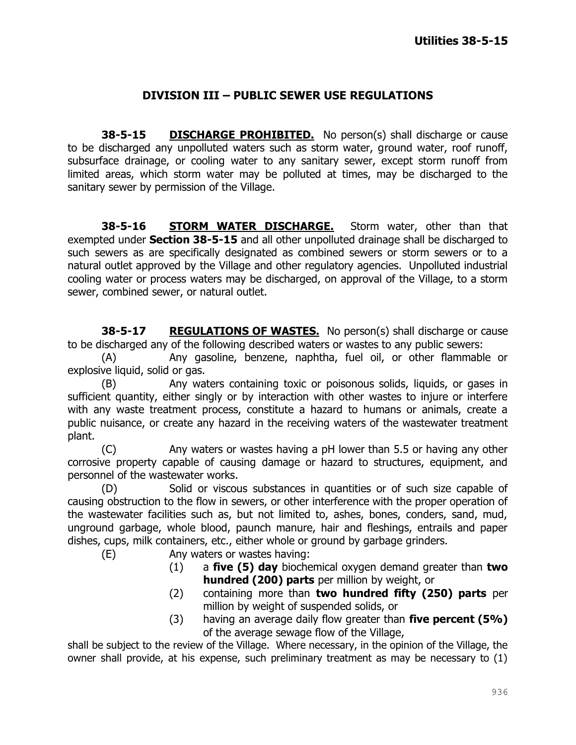### **DIVISION III – PUBLIC SEWER USE REGULATIONS**

**38-5-15 DISCHARGE PROHIBITED.** No person(s) shall discharge or cause to be discharged any unpolluted waters such as storm water, ground water, roof runoff, subsurface drainage, or cooling water to any sanitary sewer, except storm runoff from limited areas, which storm water may be polluted at times, may be discharged to the sanitary sewer by permission of the Village.

**38-5-16 STORM WATER DISCHARGE.** Storm water, other than that exempted under **Section 38-5-15** and all other unpolluted drainage shall be discharged to such sewers as are specifically designated as combined sewers or storm sewers or to a natural outlet approved by the Village and other regulatory agencies. Unpolluted industrial cooling water or process waters may be discharged, on approval of the Village, to a storm sewer, combined sewer, or natural outlet.

**38-5-17 REGULATIONS OF WASTES.** No person(s) shall discharge or cause to be discharged any of the following described waters or wastes to any public sewers:

(A) Any gasoline, benzene, naphtha, fuel oil, or other flammable or explosive liquid, solid or gas.

(B) Any waters containing toxic or poisonous solids, liquids, or gases in sufficient quantity, either singly or by interaction with other wastes to injure or interfere with any waste treatment process, constitute a hazard to humans or animals, create a public nuisance, or create any hazard in the receiving waters of the wastewater treatment plant.

(C) Any waters or wastes having a pH lower than 5.5 or having any other corrosive property capable of causing damage or hazard to structures, equipment, and personnel of the wastewater works.

(D) Solid or viscous substances in quantities or of such size capable of causing obstruction to the flow in sewers, or other interference with the proper operation of the wastewater facilities such as, but not limited to, ashes, bones, conders, sand, mud, unground garbage, whole blood, paunch manure, hair and fleshings, entrails and paper dishes, cups, milk containers, etc., either whole or ground by garbage grinders.

(E) Any waters or wastes having:

- (1) a **five (5) day** biochemical oxygen demand greater than **two hundred (200) parts** per million by weight, or
- (2) containing more than **two hundred fifty (250) parts** per million by weight of suspended solids, or
- (3) having an average daily flow greater than **five percent (5%)** of the average sewage flow of the Village,

shall be subject to the review of the Village. Where necessary, in the opinion of the Village, the owner shall provide, at his expense, such preliminary treatment as may be necessary to (1)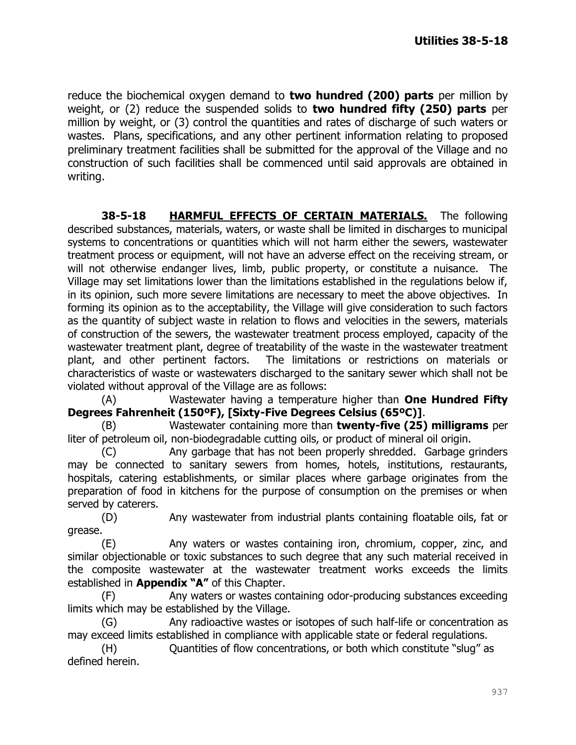reduce the biochemical oxygen demand to **two hundred (200) parts** per million by weight, or (2) reduce the suspended solids to **two hundred fifty (250) parts** per million by weight, or (3) control the quantities and rates of discharge of such waters or wastes. Plans, specifications, and any other pertinent information relating to proposed preliminary treatment facilities shall be submitted for the approval of the Village and no construction of such facilities shall be commenced until said approvals are obtained in writing.

**38-5-18 HARMFUL EFFECTS OF CERTAIN MATERIALS.** The following described substances, materials, waters, or waste shall be limited in discharges to municipal systems to concentrations or quantities which will not harm either the sewers, wastewater treatment process or equipment, will not have an adverse effect on the receiving stream, or will not otherwise endanger lives, limb, public property, or constitute a nuisance. The Village may set limitations lower than the limitations established in the regulations below if, in its opinion, such more severe limitations are necessary to meet the above objectives. In forming its opinion as to the acceptability, the Village will give consideration to such factors as the quantity of subject waste in relation to flows and velocities in the sewers, materials of construction of the sewers, the wastewater treatment process employed, capacity of the wastewater treatment plant, degree of treatability of the waste in the wastewater treatment plant, and other pertinent factors. The limitations or restrictions on materials or characteristics of waste or wastewaters discharged to the sanitary sewer which shall not be violated without approval of the Village are as follows:

(A) Wastewater having a temperature higher than **One Hundred Fifty Degrees Fahrenheit (150ºF), [Sixty-Five Degrees Celsius (65ºC)]**.

(B) Wastewater containing more than **twenty-five (25) milligrams** per liter of petroleum oil, non-biodegradable cutting oils, or product of mineral oil origin.

(C) Any garbage that has not been properly shredded. Garbage grinders may be connected to sanitary sewers from homes, hotels, institutions, restaurants, hospitals, catering establishments, or similar places where garbage originates from the preparation of food in kitchens for the purpose of consumption on the premises or when served by caterers.

(D) Any wastewater from industrial plants containing floatable oils, fat or grease.

(E) Any waters or wastes containing iron, chromium, copper, zinc, and similar objectionable or toxic substances to such degree that any such material received in the composite wastewater at the wastewater treatment works exceeds the limits established in **Appendix "A"** of this Chapter.

(F) Any waters or wastes containing odor-producing substances exceeding limits which may be established by the Village.

(G) Any radioactive wastes or isotopes of such half-life or concentration as may exceed limits established in compliance with applicable state or federal regulations.

(H) Quantities of flow concentrations, or both which constitute "slug" as defined herein.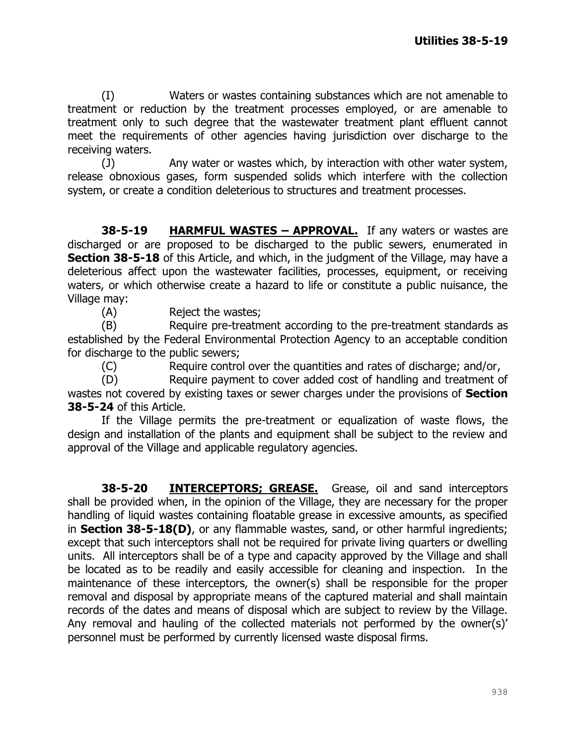(I) Waters or wastes containing substances which are not amenable to treatment or reduction by the treatment processes employed, or are amenable to treatment only to such degree that the wastewater treatment plant effluent cannot meet the requirements of other agencies having jurisdiction over discharge to the receiving waters.

(J) Any water or wastes which, by interaction with other water system, release obnoxious gases, form suspended solids which interfere with the collection system, or create a condition deleterious to structures and treatment processes.

**38-5-19 HARMFUL WASTES – APPROVAL.** If any waters or wastes are discharged or are proposed to be discharged to the public sewers, enumerated in **Section 38-5-18** of this Article, and which, in the judgment of the Village, may have a deleterious affect upon the wastewater facilities, processes, equipment, or receiving waters, or which otherwise create a hazard to life or constitute a public nuisance, the Village may:

(A) Reject the wastes;

(B) Require pre-treatment according to the pre-treatment standards as established by the Federal Environmental Protection Agency to an acceptable condition for discharge to the public sewers;

(C) Require control over the quantities and rates of discharge; and/or,

(D) Require payment to cover added cost of handling and treatment of wastes not covered by existing taxes or sewer charges under the provisions of **Section 38-5-24** of this Article.

If the Village permits the pre-treatment or equalization of waste flows, the design and installation of the plants and equipment shall be subject to the review and approval of the Village and applicable regulatory agencies.

**38-5-20 INTERCEPTORS; GREASE.** Grease, oil and sand interceptors shall be provided when, in the opinion of the Village, they are necessary for the proper handling of liquid wastes containing floatable grease in excessive amounts, as specified in **Section 38-5-18(D)**, or any flammable wastes, sand, or other harmful ingredients; except that such interceptors shall not be required for private living quarters or dwelling units. All interceptors shall be of a type and capacity approved by the Village and shall be located as to be readily and easily accessible for cleaning and inspection. In the maintenance of these interceptors, the owner(s) shall be responsible for the proper removal and disposal by appropriate means of the captured material and shall maintain records of the dates and means of disposal which are subject to review by the Village. Any removal and hauling of the collected materials not performed by the owner(s)' personnel must be performed by currently licensed waste disposal firms.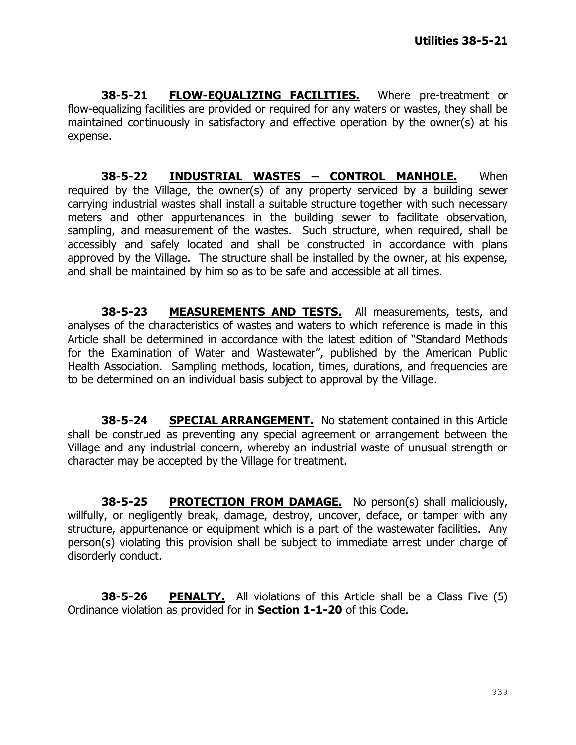**38-5-21 FLOW-EQUALIZING FACILITIES.** Where pre-treatment or flow-equalizing facilities are provided or required for any waters or wastes, they shall be maintained continuously in satisfactory and effective operation by the owner(s) at his expense.

**38-5-22 INDUSTRIAL WASTES – CONTROL MANHOLE.** When required by the Village, the owner(s) of any property serviced by a building sewer carrying industrial wastes shall install a suitable structure together with such necessary meters and other appurtenances in the building sewer to facilitate observation, sampling, and measurement of the wastes. Such structure, when required, shall be accessibly and safely located and shall be constructed in accordance with plans approved by the Village. The structure shall be installed by the owner, at his expense, and shall be maintained by him so as to be safe and accessible at all times.

**38-5-23 MEASUREMENTS AND TESTS.** All measurements, tests, and analyses of the characteristics of wastes and waters to which reference is made in this Article shall be determined in accordance with the latest edition of "Standard Methods for the Examination of Water and Wastewater", published by the American Public Health Association. Sampling methods, location, times, durations, and frequencies are to be determined on an individual basis subject to approval by the Village.

**38-5-24 SPECIAL ARRANGEMENT.** No statement contained in this Article shall be construed as preventing any special agreement or arrangement between the Village and any industrial concern, whereby an industrial waste of unusual strength or character may be accepted by the Village for treatment.

**38-5-25 PROTECTION FROM DAMAGE.** No person(s) shall maliciously, willfully, or negligently break, damage, destroy, uncover, deface, or tamper with any structure, appurtenance or equipment which is a part of the wastewater facilities. Any person(s) violating this provision shall be subject to immediate arrest under charge of disorderly conduct.

**38-5-26 PENALTY.** All violations of this Article shall be a Class Five (5) Ordinance violation as provided for in **Section 1-1-20** of this Code.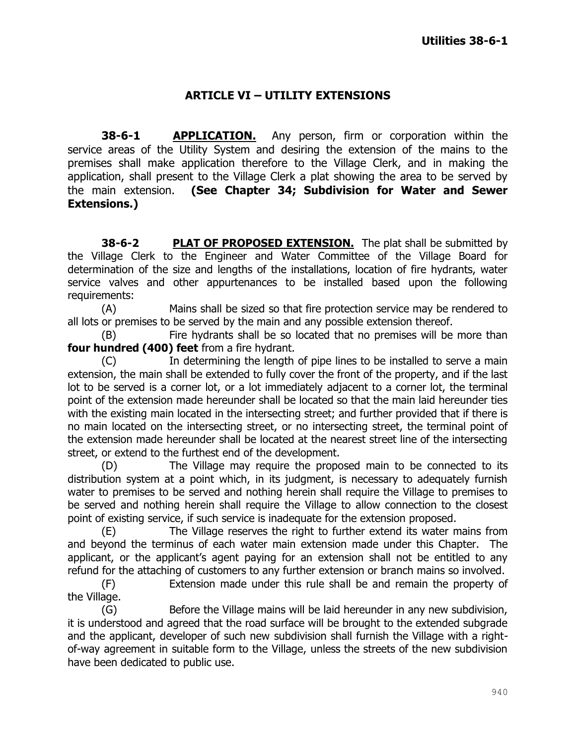## **ARTICLE VI – UTILITY EXTENSIONS**

**38-6-1 APPLICATION.** Any person, firm or corporation within the service areas of the Utility System and desiring the extension of the mains to the premises shall make application therefore to the Village Clerk, and in making the application, shall present to the Village Clerk a plat showing the area to be served by the main extension. **(See Chapter 34; Subdivision for Water and Sewer Extensions.)**

**38-6-2 PLAT OF PROPOSED EXTENSION.** The plat shall be submitted by the Village Clerk to the Engineer and Water Committee of the Village Board for determination of the size and lengths of the installations, location of fire hydrants, water service valves and other appurtenances to be installed based upon the following requirements:

(A) Mains shall be sized so that fire protection service may be rendered to all lots or premises to be served by the main and any possible extension thereof.

(B) Fire hydrants shall be so located that no premises will be more than **four hundred (400) feet** from a fire hydrant.

(C) In determining the length of pipe lines to be installed to serve a main extension, the main shall be extended to fully cover the front of the property, and if the last lot to be served is a corner lot, or a lot immediately adjacent to a corner lot, the terminal point of the extension made hereunder shall be located so that the main laid hereunder ties with the existing main located in the intersecting street; and further provided that if there is no main located on the intersecting street, or no intersecting street, the terminal point of the extension made hereunder shall be located at the nearest street line of the intersecting street, or extend to the furthest end of the development.

(D) The Village may require the proposed main to be connected to its distribution system at a point which, in its judgment, is necessary to adequately furnish water to premises to be served and nothing herein shall require the Village to premises to be served and nothing herein shall require the Village to allow connection to the closest point of existing service, if such service is inadequate for the extension proposed.

(E) The Village reserves the right to further extend its water mains from and beyond the terminus of each water main extension made under this Chapter. The applicant, or the applicant's agent paying for an extension shall not be entitled to any refund for the attaching of customers to any further extension or branch mains so involved.

(F) Extension made under this rule shall be and remain the property of the Village.

(G) Before the Village mains will be laid hereunder in any new subdivision, it is understood and agreed that the road surface will be brought to the extended subgrade and the applicant, developer of such new subdivision shall furnish the Village with a rightof-way agreement in suitable form to the Village, unless the streets of the new subdivision have been dedicated to public use.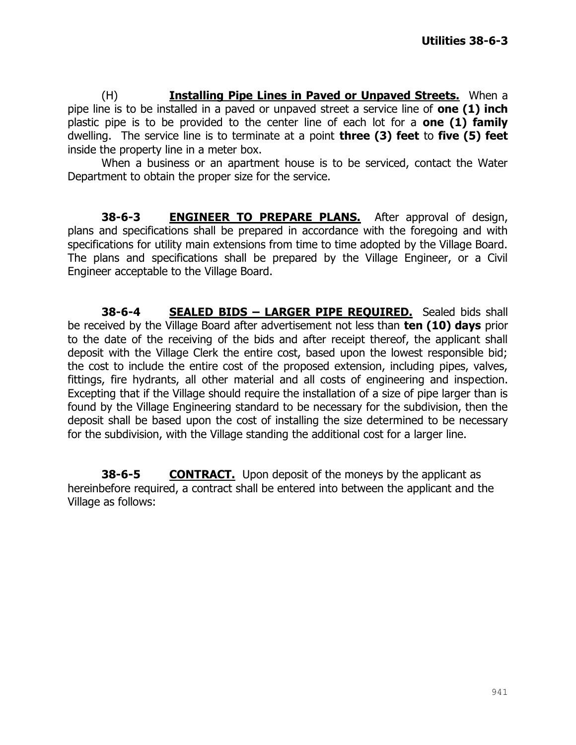(H) **Installing Pipe Lines in Paved or Unpaved Streets.** When a pipe line is to be installed in a paved or unpaved street a service line of **one (1) inch** plastic pipe is to be provided to the center line of each lot for a **one (1) family** dwelling. The service line is to terminate at a point **three (3) feet** to **five (5) feet** inside the property line in a meter box.

When a business or an apartment house is to be serviced, contact the Water Department to obtain the proper size for the service.

**38-6-3 ENGINEER TO PREPARE PLANS.** After approval of design, plans and specifications shall be prepared in accordance with the foregoing and with specifications for utility main extensions from time to time adopted by the Village Board. The plans and specifications shall be prepared by the Village Engineer, or a Civil Engineer acceptable to the Village Board.

**38-6-4 SEALED BIDS – LARGER PIPE REQUIRED.** Sealed bids shall be received by the Village Board after advertisement not less than **ten (10) days** prior to the date of the receiving of the bids and after receipt thereof, the applicant shall deposit with the Village Clerk the entire cost, based upon the lowest responsible bid; the cost to include the entire cost of the proposed extension, including pipes, valves, fittings, fire hydrants, all other material and all costs of engineering and inspection. Excepting that if the Village should require the installation of a size of pipe larger than is found by the Village Engineering standard to be necessary for the subdivision, then the deposit shall be based upon the cost of installing the size determined to be necessary for the subdivision, with the Village standing the additional cost for a larger line.

**38-6-5 CONTRACT.** Upon deposit of the moneys by the applicant as hereinbefore required, a contract shall be entered into between the applicant and the Village as follows: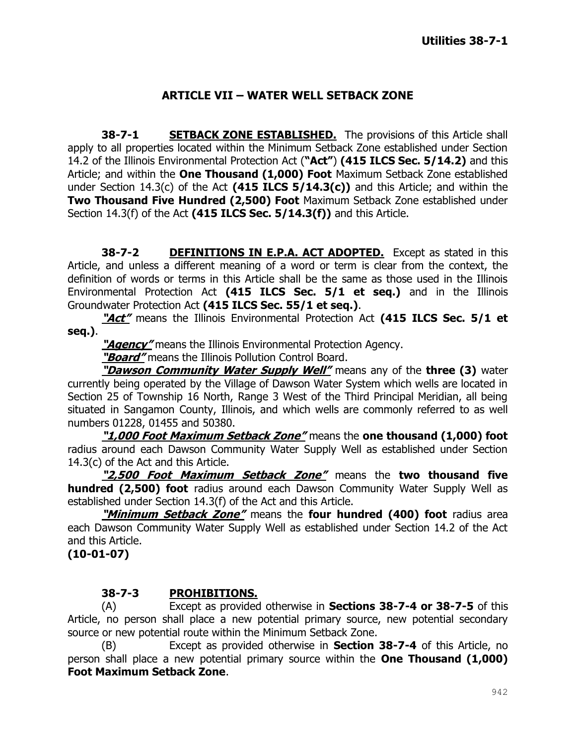## **ARTICLE VII – WATER WELL SETBACK ZONE**

**38-7-1 SETBACK ZONE ESTABLISHED.** The provisions of this Article shall apply to all properties located within the Minimum Setback Zone established under Section 14.2 of the Illinois Environmental Protection Act (**"Act"**) **(415 ILCS Sec. 5/14.2)** and this Article; and within the **One Thousand (1,000) Foot** Maximum Setback Zone established under Section 14.3(c) of the Act **(415 ILCS 5/14.3(c))** and this Article; and within the **Two Thousand Five Hundred (2,500) Foot** Maximum Setback Zone established under Section 14.3(f) of the Act **(415 ILCS Sec. 5/14.3(f))** and this Article.

**38-7-2 DEFINITIONS IN E.P.A. ACT ADOPTED.** Except as stated in this Article, and unless a different meaning of a word or term is clear from the context, the definition of words or terms in this Article shall be the same as those used in the Illinois Environmental Protection Act **(415 ILCS Sec. 5/1 et seq.)** and in the Illinois Groundwater Protection Act **(415 ILCS Sec. 55/1 et seq.)**.

**"Act"** means the Illinois Environmental Protection Act **(415 ILCS Sec. 5/1 et seq.)**.

**"Agency"** means the Illinois Environmental Protection Agency.

**"Board"** means the Illinois Pollution Control Board.

**"Dawson Community Water Supply Well"** means any of the **three (3)** water currently being operated by the Village of Dawson Water System which wells are located in Section 25 of Township 16 North, Range 3 West of the Third Principal Meridian, all being situated in Sangamon County, Illinois, and which wells are commonly referred to as well numbers 01228, 01455 and 50380.

**"1,000 Foot Maximum Setback Zone"** means the **one thousand (1,000) foot** radius around each Dawson Community Water Supply Well as established under Section 14.3(c) of the Act and this Article.

**"2,500 Foot Maximum Setback Zone"** means the **two thousand five hundred (2,500) foot** radius around each Dawson Community Water Supply Well as established under Section 14.3(f) of the Act and this Article.

**"Minimum Setback Zone"** means the **four hundred (400) foot** radius area each Dawson Community Water Supply Well as established under Section 14.2 of the Act and this Article.

**(10-01-07)**

## **38-7-3 PROHIBITIONS.**

(A) Except as provided otherwise in **Sections 38-7-4 or 38-7-5** of this Article, no person shall place a new potential primary source, new potential secondary source or new potential route within the Minimum Setback Zone.

(B) Except as provided otherwise in **Section 38-7-4** of this Article, no person shall place a new potential primary source within the **One Thousand (1,000) Foot Maximum Setback Zone**.